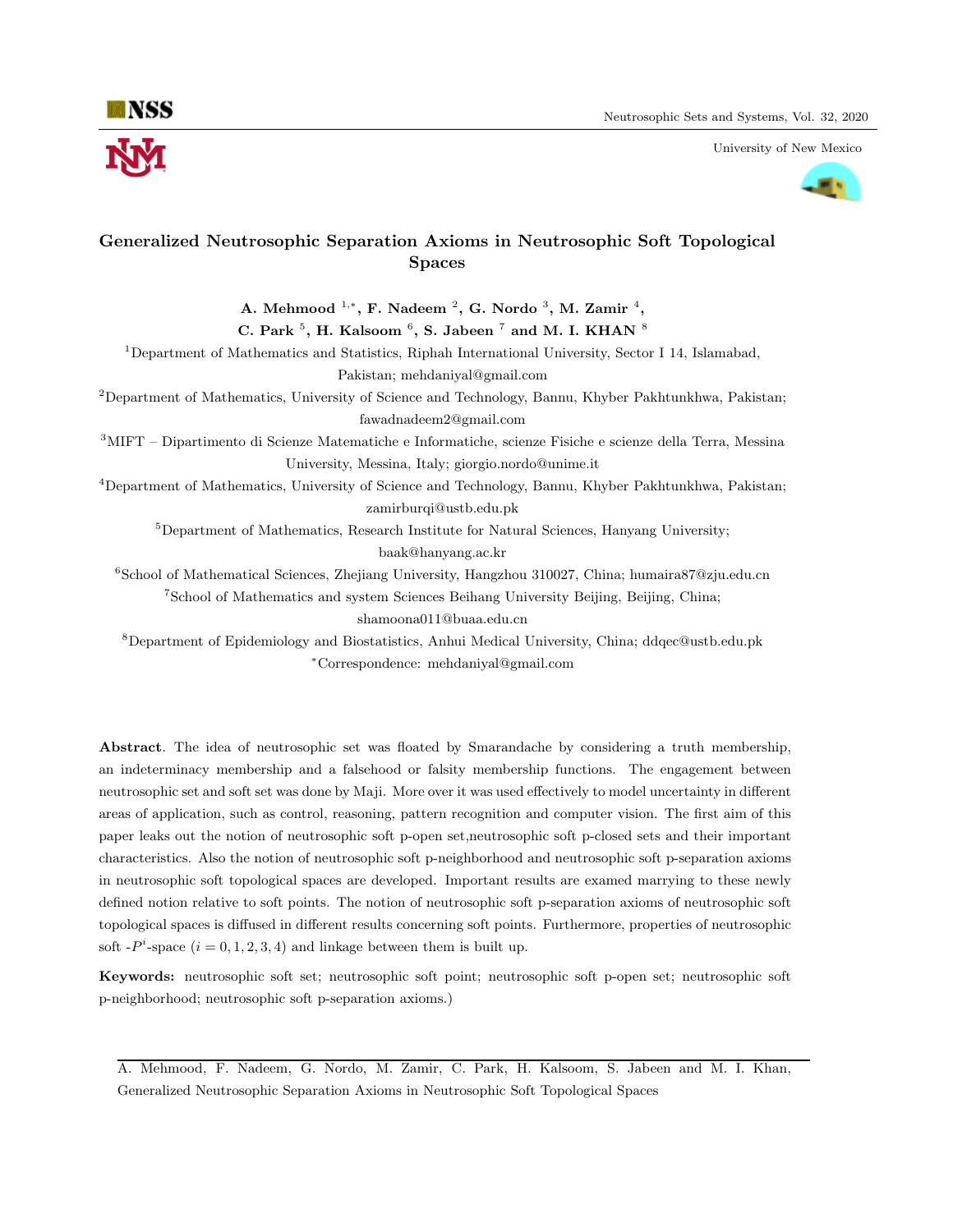University of New Mexico



# Generalized Neutrosophic Separation Axioms in Neutrosophic Soft Topological Spaces

A. Mehmood  $1, *$ , F. Nadeem  $2, G$ . Nordo  $3, M$ . Zamir  $4,$ 

C. Park  $5$ , H. Kalsoom  $6$ , S. Jabeen  $7$  and M. I. KHAN  $8$ 

<sup>1</sup>Department of Mathematics and Statistics, Riphah International University, Sector I 14, Islamabad, Pakistan; mehdaniyal@gmail.com

<sup>2</sup>Department of Mathematics, University of Science and Technology, Bannu, Khyber Pakhtunkhwa, Pakistan; fawadnadeem2@gmail.com

<sup>3</sup>MIFT – Dipartimento di Scienze Matematiche e Informatiche, scienze Fisiche e scienze della Terra, Messina University, Messina, Italy; giorgio.nordo@unime.it

<sup>4</sup>Department of Mathematics, University of Science and Technology, Bannu, Khyber Pakhtunkhwa, Pakistan; zamirburqi@ustb.edu.pk

 $5$ Department of Mathematics, Research Institute for Natural Sciences, Hanyang University; baak@hanyang.ac.kr

 $6$ School of Mathematical Sciences, Zhejiang University, Hangzhou 310027, China; humaira87@zju.edu.cn <sup>7</sup>School of Mathematics and system Sciences Beihang University Beijing, Beijing, China;

shamoona011@buaa.edu.cn

<sup>8</sup>Department of Epidemiology and Biostatistics, Anhui Medical University, China; ddqec@ustb.edu.pk <sup>∗</sup>Correspondence: mehdaniyal@gmail.com

Abstract. The idea of neutrosophic set was floated by Smarandache by considering a truth membership, an indeterminacy membership and a falsehood or falsity membership functions. The engagement between neutrosophic set and soft set was done by Maji. More over it was used effectively to model uncertainty in different areas of application, such as control, reasoning, pattern recognition and computer vision. The first aim of this paper leaks out the notion of neutrosophic soft p-open set,neutrosophic soft p-closed sets and their important characteristics. Also the notion of neutrosophic soft p-neighborhood and neutrosophic soft p-separation axioms in neutrosophic soft topological spaces are developed. Important results are examed marrying to these newly defined notion relative to soft points. The notion of neutrosophic soft p-separation axioms of neutrosophic soft topological spaces is diffused in different results concerning soft points. Furthermore, properties of neutrosophic soft  $-P^i$ -space  $(i = 0, 1, 2, 3, 4)$  and linkage between them is built up.

Keywords: neutrosophic soft set; neutrosophic soft point; neutrosophic soft p-open set; neutrosophic soft p-neighborhood; neutrosophic soft p-separation axioms.)

A. Mehmood, F. Nadeem, G. Nordo, M. Zamir, C. Park, H. Kalsoom, S. Jabeen and M. I. Khan, Generalized Neutrosophic Separation Axioms in Neutrosophic Soft Topological Spaces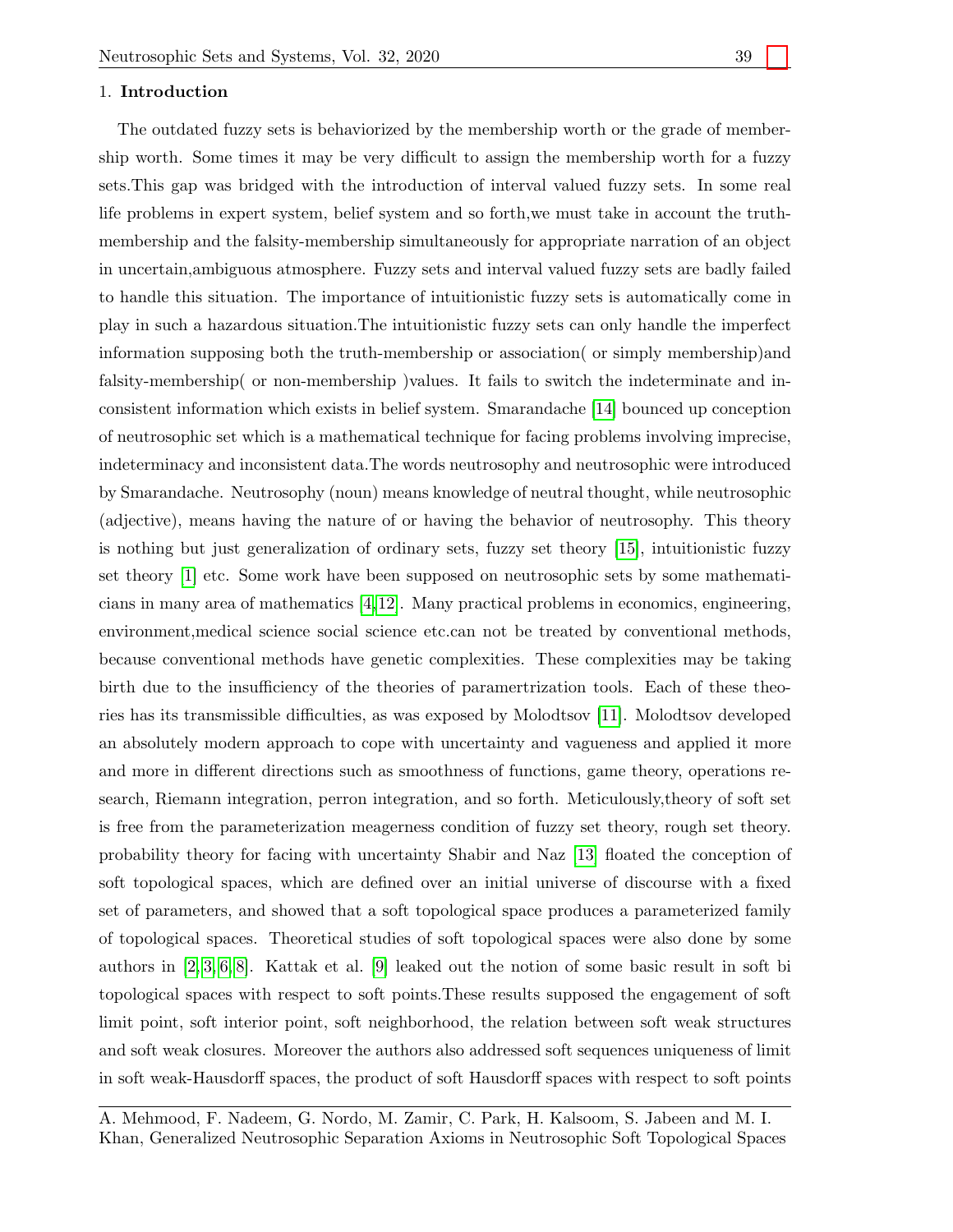# 1. Introduction

The outdated fuzzy sets is behaviorized by the membership worth or the grade of membership worth. Some times it may be very difficult to assign the membership worth for a fuzzy sets.This gap was bridged with the introduction of interval valued fuzzy sets. In some real life problems in expert system, belief system and so forth,we must take in account the truthmembership and the falsity-membership simultaneously for appropriate narration of an object in uncertain,ambiguous atmosphere. Fuzzy sets and interval valued fuzzy sets are badly failed to handle this situation. The importance of intuitionistic fuzzy sets is automatically come in play in such a hazardous situation.The intuitionistic fuzzy sets can only handle the imperfect information supposing both the truth-membership or association( or simply membership)and falsity-membership( or non-membership )values. It fails to switch the indeterminate and inconsistent information which exists in belief system. Smarandache [\[14\]](#page-13-0) bounced up conception of neutrosophic set which is a mathematical technique for facing problems involving imprecise, indeterminacy and inconsistent data.The words neutrosophy and neutrosophic were introduced by Smarandache. Neutrosophy (noun) means knowledge of neutral thought, while neutrosophic (adjective), means having the nature of or having the behavior of neutrosophy. This theory is nothing but just generalization of ordinary sets, fuzzy set theory [\[15\]](#page-13-1), intuitionistic fuzzy set theory [\[1\]](#page-13-2) etc. Some work have been supposed on neutrosophic sets by some mathematicians in many area of mathematics [\[4,](#page-13-3)[12\]](#page-13-4). Many practical problems in economics, engineering, environment,medical science social science etc.can not be treated by conventional methods, because conventional methods have genetic complexities. These complexities may be taking birth due to the insufficiency of the theories of paramertrization tools. Each of these theories has its transmissible difficulties, as was exposed by Molodtsov [\[11\]](#page-13-5). Molodtsov developed an absolutely modern approach to cope with uncertainty and vagueness and applied it more and more in different directions such as smoothness of functions, game theory, operations research, Riemann integration, perron integration, and so forth. Meticulously,theory of soft set is free from the parameterization meagerness condition of fuzzy set theory, rough set theory. probability theory for facing with uncertainty Shabir and Naz [\[13\]](#page-13-6) floated the conception of soft topological spaces, which are defined over an initial universe of discourse with a fixed set of parameters, and showed that a soft topological space produces a parameterized family of topological spaces. Theoretical studies of soft topological spaces were also done by some authors in [\[2,](#page-13-7) [3,](#page-13-8) [6,](#page-13-9) [8\]](#page-13-10). Kattak et al. [\[9\]](#page-13-11) leaked out the notion of some basic result in soft bi topological spaces with respect to soft points.These results supposed the engagement of soft limit point, soft interior point, soft neighborhood, the relation between soft weak structures and soft weak closures. Moreover the authors also addressed soft sequences uniqueness of limit in soft weak-Hausdorff spaces, the product of soft Hausdorff spaces with respect to soft points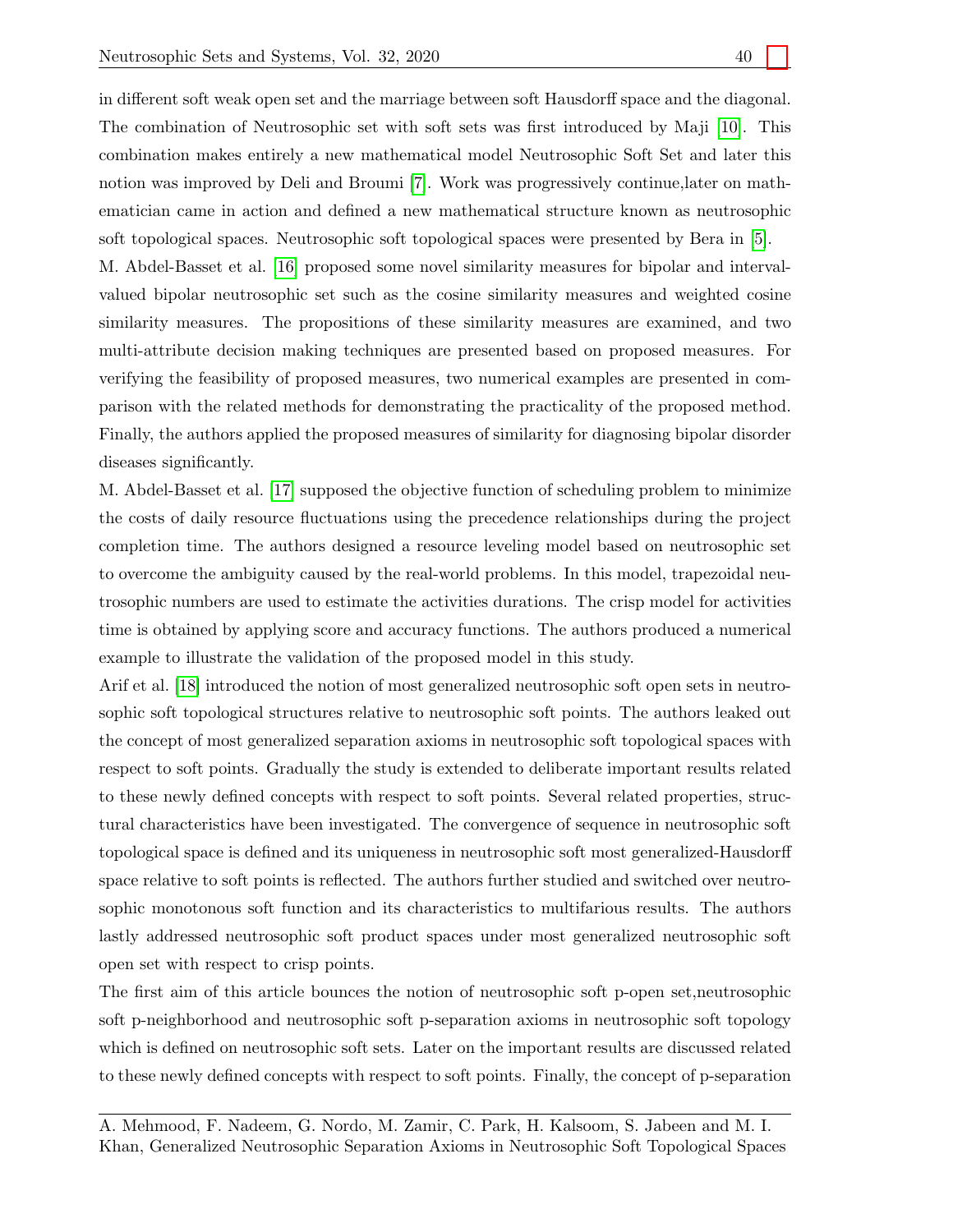in different soft weak open set and the marriage between soft Hausdorff space and the diagonal. The combination of Neutrosophic set with soft sets was first introduced by Maji [\[10\]](#page-13-12). This combination makes entirely a new mathematical model Neutrosophic Soft Set and later this notion was improved by Deli and Broumi [\[7\]](#page-13-13). Work was progressively continue,later on mathematician came in action and defined a new mathematical structure known as neutrosophic soft topological spaces. Neutrosophic soft topological spaces were presented by Bera in [\[5\]](#page-13-14). M. Abdel-Basset et al. [\[16\]](#page-13-15) proposed some novel similarity measures for bipolar and intervalvalued bipolar neutrosophic set such as the cosine similarity measures and weighted cosine similarity measures. The propositions of these similarity measures are examined, and two multi-attribute decision making techniques are presented based on proposed measures. For verifying the feasibility of proposed measures, two numerical examples are presented in comparison with the related methods for demonstrating the practicality of the proposed method. Finally, the authors applied the proposed measures of similarity for diagnosing bipolar disorder diseases significantly.

M. Abdel-Basset et al. [\[17\]](#page-13-16) supposed the objective function of scheduling problem to minimize the costs of daily resource fluctuations using the precedence relationships during the project completion time. The authors designed a resource leveling model based on neutrosophic set to overcome the ambiguity caused by the real-world problems. In this model, trapezoidal neutrosophic numbers are used to estimate the activities durations. The crisp model for activities time is obtained by applying score and accuracy functions. The authors produced a numerical example to illustrate the validation of the proposed model in this study.

Arif et al. [\[18\]](#page-13-17) introduced the notion of most generalized neutrosophic soft open sets in neutrosophic soft topological structures relative to neutrosophic soft points. The authors leaked out the concept of most generalized separation axioms in neutrosophic soft topological spaces with respect to soft points. Gradually the study is extended to deliberate important results related to these newly defined concepts with respect to soft points. Several related properties, structural characteristics have been investigated. The convergence of sequence in neutrosophic soft topological space is defined and its uniqueness in neutrosophic soft most generalized-Hausdorff space relative to soft points is reflected. The authors further studied and switched over neutrosophic monotonous soft function and its characteristics to multifarious results. The authors lastly addressed neutrosophic soft product spaces under most generalized neutrosophic soft open set with respect to crisp points.

The first aim of this article bounces the notion of neutrosophic soft p-open set,neutrosophic soft p-neighborhood and neutrosophic soft p-separation axioms in neutrosophic soft topology which is defined on neutrosophic soft sets. Later on the important results are discussed related to these newly defined concepts with respect to soft points. Finally, the concept of p-separation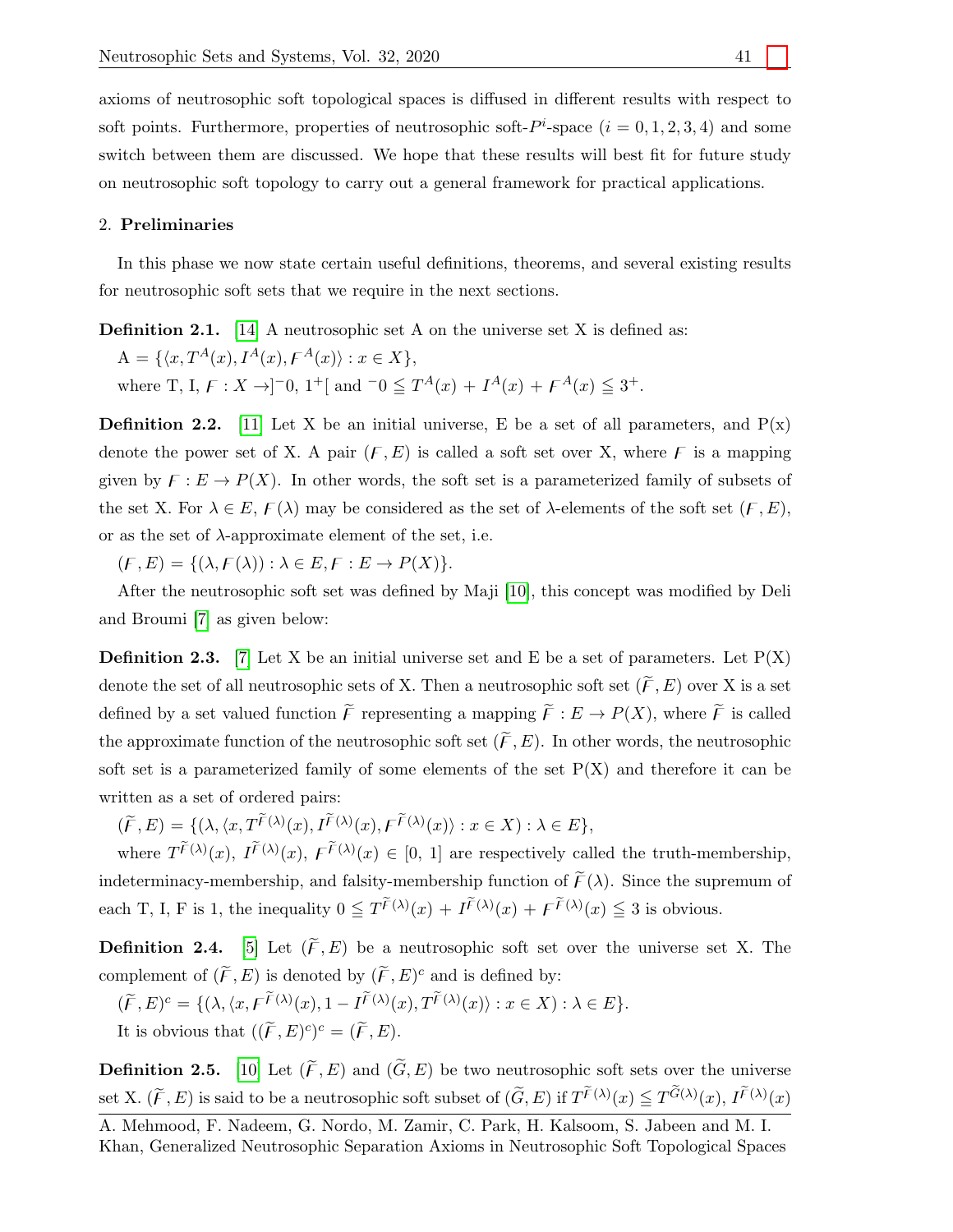axioms of neutrosophic soft topological spaces is diffused in different results with respect to soft points. Furthermore, properties of neutrosophic soft- $P^i$ -space  $(i = 0, 1, 2, 3, 4)$  and some switch between them are discussed. We hope that these results will best fit for future study on neutrosophic soft topology to carry out a general framework for practical applications.

#### 2. Preliminaries

In this phase we now state certain useful definitions, theorems, and several existing results for neutrosophic soft sets that we require in the next sections.

**Definition 2.1.** [\[14\]](#page-13-0) A neutrosophic set A on the universe set X is defined as:

 $A = \{ \langle x, T^A(x), I^A(x), F^A(x) \rangle : x \in X \},$ 

where T, I,  $F: X \to ]-0, 1^+]$  and  $-0 \leq T^A(x) + I^A(x) + F^A(x) \leq 3^+$ .

**Definition 2.2.** [\[11\]](#page-13-5) Let X be an initial universe, E be a set of all parameters, and  $P(x)$ denote the power set of X. A pair  $(F, E)$  is called a soft set over X, where F is a mapping given by  $F : E \to P(X)$ . In other words, the soft set is a parameterized family of subsets of the set X. For  $\lambda \in E$ ,  $\mathcal{F}(\lambda)$  may be considered as the set of  $\lambda$ -elements of the soft set  $(\mathcal{F}, E)$ , or as the set of  $\lambda$ -approximate element of the set, i.e.

 $(F, E) = \{(\lambda, F(\lambda)) : \lambda \in E, F : E \to P(X)\}.$ 

After the neutrosophic soft set was defined by Maji [\[10\]](#page-13-12), this concept was modified by Deli and Broumi [\[7\]](#page-13-13) as given below:

**Definition 2.3.** [\[7\]](#page-13-13) Let X be an initial universe set and E be a set of parameters. Let  $P(X)$ denote the set of all neutrosophic sets of X. Then a neutrosophic soft set  $(\widetilde{F}, E)$  over X is a set defined by a set valued function  $\widetilde{F}$  representing a mapping  $\widetilde{F}: E \to P(X)$ , where  $\widetilde{F}$  is called the approximate function of the neutrosophic soft set  $(\widetilde{F}, E)$ . In other words, the neutrosophic soft set is a parameterized family of some elements of the set  $P(X)$  and therefore it can be written as a set of ordered pairs:

 $(\widetilde{F}, E) = \{ (\lambda, \langle x, T^{\widetilde{F}(\lambda)}(x), I^{\widetilde{F}(\lambda)}(x), F^{\widetilde{F}(\lambda)}(x) \rangle : x \in X) : \lambda \in E \},$ 

where  $T^{\tilde{F}(\lambda)}(x)$ ,  $I^{\tilde{F}(\lambda)}(x)$ ,  $F^{\tilde{F}(\lambda)}(x) \in [0, 1]$  are respectively called the truth-membership, indeterminacy-membership, and falsity-membership function of  $\tilde{F}(\lambda)$ . Since the supremum of each T, I, F is 1, the inequality  $0 \leq T^{\widetilde{F}(\lambda)}(x) + I^{\widetilde{F}(\lambda)}(x) + \widetilde{F}^{(\lambda)}(x) \leq 3$  is obvious.

**Definition 2.4.** [\[5\]](#page-13-14) Let  $(\widetilde{F}, E)$  be a neutrosophic soft set over the universe set X. The complement of  $(\widetilde{F}, E)$  is denoted by  $(\widetilde{F}, E)^c$  and is defined by:

$$
(\widetilde{F}, E)^c = \{ (\lambda, \langle x, F^{\widetilde{F}(\lambda)}(x), 1 - I^{\widetilde{F}(\lambda)}(x), T^{\widetilde{F}(\lambda)}(x) \rangle : x \in X) : \lambda \in E \}.
$$

It is obvious that  $((\widetilde{F}, E)^c)^c = (\widetilde{F}, E)$ .

**Definition 2.5.** [\[10\]](#page-13-12) Let  $(\widetilde{F}, E)$  and  $(\widetilde{G}, E)$  be two neutrosophic soft sets over the universe set X.  $(\widetilde{F}, E)$  is said to be a neutrosophic soft subset of  $(\widetilde{G}, E)$  if  $T^{\widetilde{F}(\lambda)}(x) \leq T^{\widetilde{G}(\lambda)}(x)$ ,  $I^{\widetilde{F}(\lambda)}(x)$ 

A. Mehmood, F. Nadeem, G. Nordo, M. Zamir, C. Park, H. Kalsoom, S. Jabeen and M. I. Khan, Generalized Neutrosophic Separation Axioms in Neutrosophic Soft Topological Spaces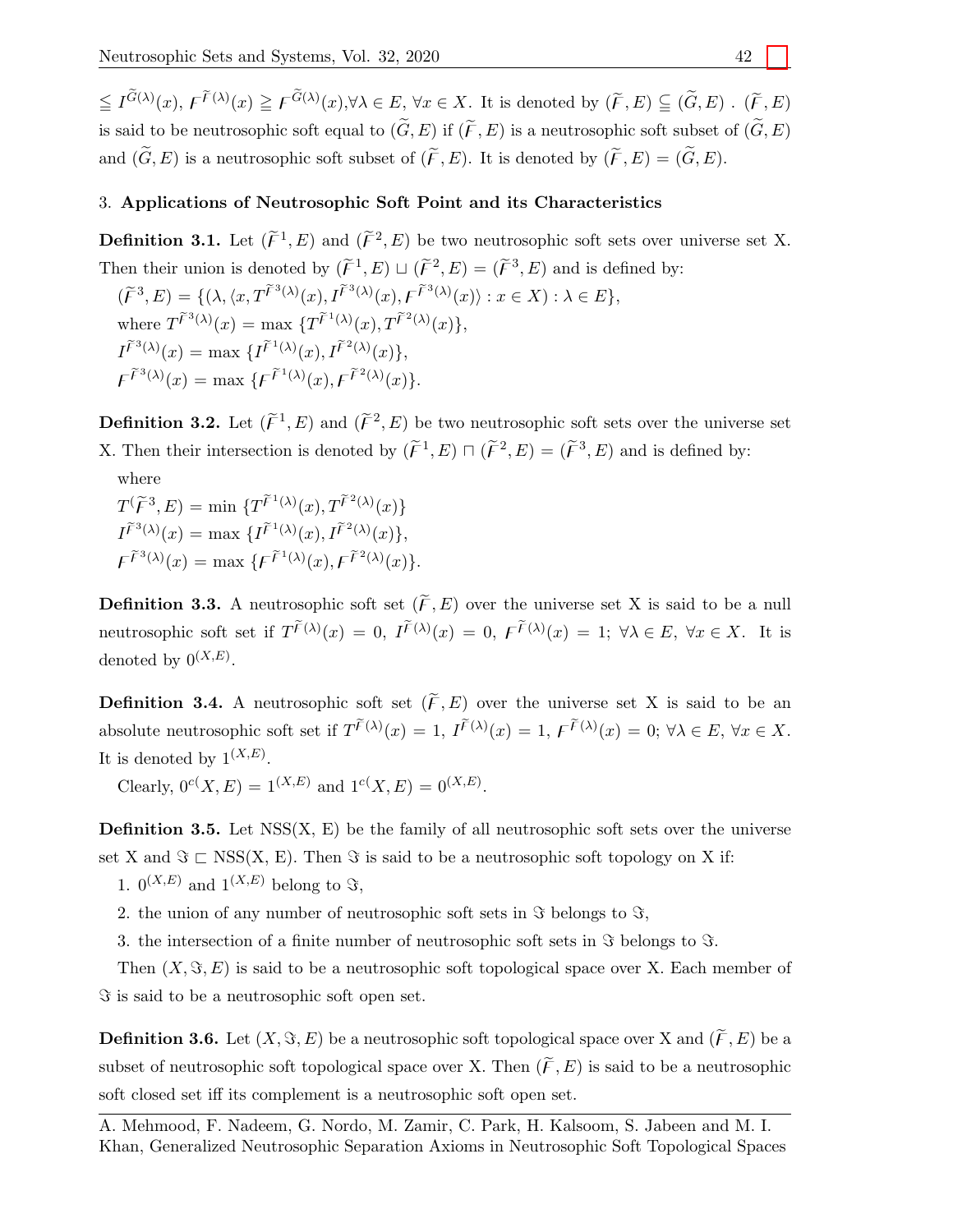$\leq I^{\widetilde{G}(\lambda)}(x), F^{\widetilde{F}(\lambda)}(x) \geq F^{\widetilde{G}(\lambda)}(x), \forall \lambda \in E, \forall x \in X$ . It is denoted by  $(\widetilde{F}, E) \subseteq (\widetilde{G}, E)$ .  $(\widetilde{F}, E)$ is said to be neutrosophic soft equal to  $(\widetilde{G}, E)$  if  $(\widetilde{F}, E)$  is a neutrosophic soft subset of  $(\widetilde{G}, E)$ and  $(\widetilde{G}, E)$  is a neutrosophic soft subset of  $(\widetilde{F}, E)$ . It is denoted by  $(\widetilde{F}, E) = (\widetilde{G}, E)$ .

# 3. Applications of Neutrosophic Soft Point and its Characteristics

**Definition 3.1.** Let  $(\widetilde{F}^1, E)$  and  $(\widetilde{F}^2, E)$  be two neutrosophic soft sets over universe set X. Then their union is denoted by  $(\widetilde{F}^1, E) \sqcup (\widetilde{F}^2, E) = (\widetilde{F}^3, E)$  and is defined by:

 $(\widetilde{F}^3, E) = \{ (\lambda, \langle x, T\widetilde{F}^3(\lambda)(x), I\widetilde{F}^3(\lambda)(x), F\widetilde{F}^3(\lambda)(x) \rangle : x \in X) : \lambda \in E \},$ where  $T^{\widetilde{F}^3(\lambda)}(x) = \max \{T^{\widetilde{F}^1(\lambda)}(x), T^{\widetilde{F}^2(\lambda)}(x)\},$  $I^{\widetilde{F}^{3}(\lambda)}(x) = \max \{ I^{\widetilde{F}^{1}(\lambda)}(x), I^{\widetilde{F}^{2}(\lambda)}(x) \},$  $\mathcal{F}^{\tilde{\mathcal{F}}^3(\lambda)}(x) = \max \{ \mathcal{F}^{\tilde{\mathcal{F}}^1(\lambda)}(x), \mathcal{F}^{\tilde{\mathcal{F}}^2(\lambda)}(x) \}.$ 

**Definition 3.2.** Let  $(\widetilde{F}^1, E)$  and  $(\widetilde{F}^2, E)$  be two neutrosophic soft sets over the universe set X. Then their intersection is denoted by  $(\widetilde{F}^1, E) \sqcap (\widetilde{F}^2, E) = (\widetilde{F}^3, E)$  and is defined by:

where

 $T(\widetilde{\mathcal{F}}^3, E) = \min \{T\widetilde{\mathcal{F}}^{1(\lambda)}(x), T\widetilde{\mathcal{F}}^{2(\lambda)}(x)\}$  $I^{\widetilde{F}^{3}(\lambda)}(x) = \max \{ I^{\widetilde{F}^{1}(\lambda)}(x), I^{\widetilde{F}^{2}(\lambda)}(x) \},$  $\mathcal{F}^{\widetilde{F}^3(\lambda)}(x) = \max \{ \mathcal{F}^{\widetilde{F}^1(\lambda)}(x), \mathcal{F}^{\widetilde{F}^2(\lambda)}(x) \}.$ 

**Definition 3.3.** A neutrosophic soft set  $(\widetilde{F}, E)$  over the universe set X is said to be a null neutrosophic soft set if  $T^{\widetilde{F}(\lambda)}(x) = 0$ ,  $I^{\widetilde{F}(\lambda)}(x) = 0$ ,  $\overline{F}^{(\lambda)}(x) = 1$ ;  $\forall \lambda \in E$ ,  $\forall x \in X$ . It is denoted by  $0^{(X,E)}$ .

**Definition 3.4.** A neutrosophic soft set  $(\widetilde{F}, E)$  over the universe set X is said to be an absolute neutrosophic soft set if  $T^{\tilde{F}(\lambda)}(x) = 1$ ,  $I^{\tilde{F}(\lambda)}(x) = 1$ ,  $\tilde{F}^{(\lambda)}(x) = 0$ ;  $\forall \lambda \in E$ ,  $\forall x \in X$ . It is denoted by  $1^{(X,E)}$ .

Clearly,  $0^{c}(X, E) = 1^{(X,E)}$  and  $1^{c}(X, E) = 0^{(X,E)}$ .

**Definition 3.5.** Let  $NSS(X, E)$  be the family of all neutrosophic soft sets over the universe set X and  $\Im \subset \text{NSS}(X, E)$ . Then  $\Im$  is said to be a neutrosophic soft topology on X if:

1.  $0^{(X,E)}$  and  $1^{(X,E)}$  belong to  $\Im$ ,

2. the union of any number of neutrosophic soft sets in  $\Im$  belongs to  $\Im$ ,

3. the intersection of a finite number of neutrosophic soft sets in  $\Im$  belongs to  $\Im$ .

Then  $(X, \Im, E)$  is said to be a neutrosophic soft topological space over X. Each member of  $\Im$  is said to be a neutrosophic soft open set.

**Definition 3.6.** Let  $(X, \Im, E)$  be a neutrosophic soft topological space over X and  $(\widetilde{F}, E)$  be a subset of neutrosophic soft topological space over X. Then  $(\widetilde{F}, E)$  is said to be a neutrosophic soft closed set iff its complement is a neutrosophic soft open set.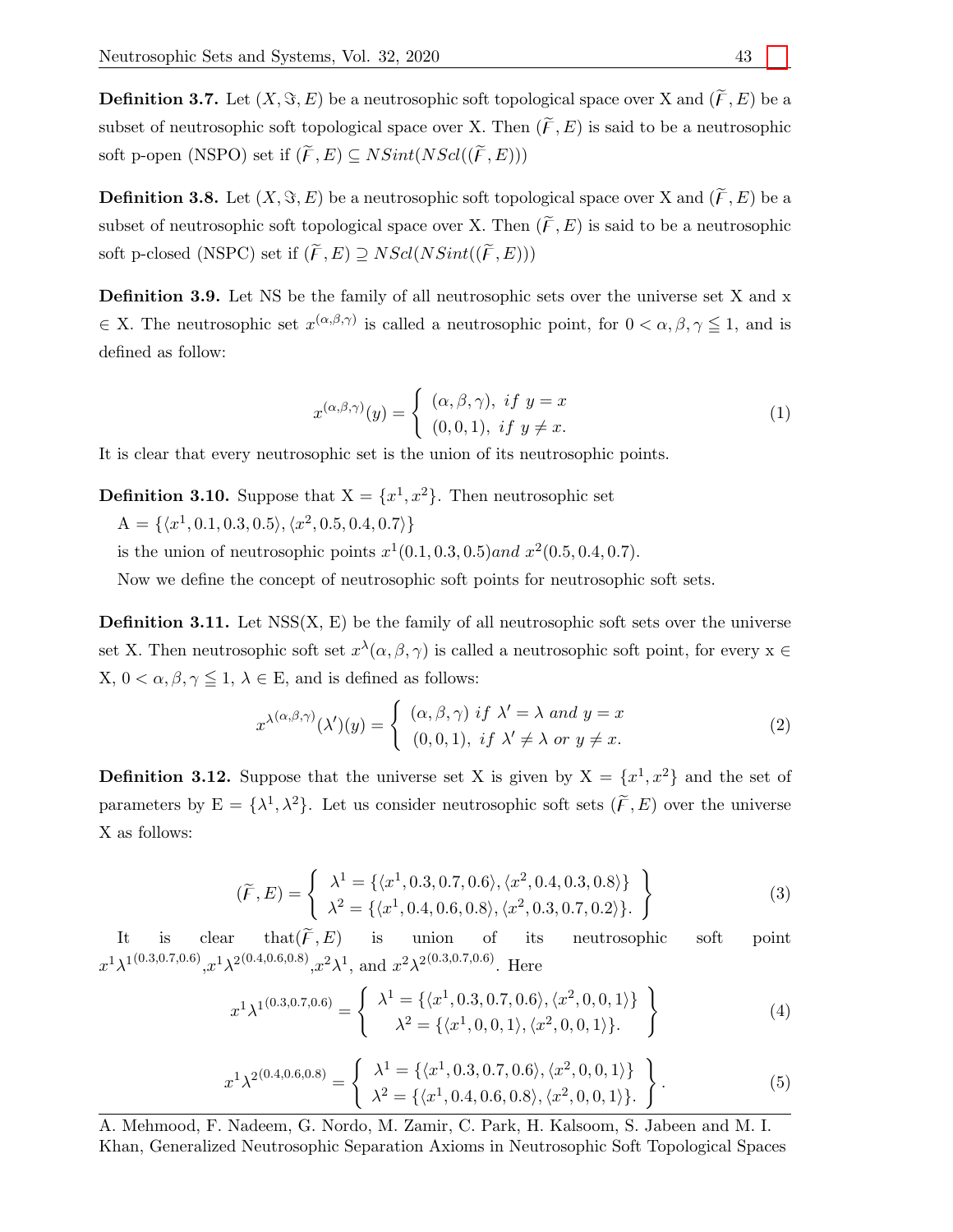**Definition 3.7.** Let  $(X, \Im, E)$  be a neutrosophic soft topological space over X and  $(\widetilde{F}, E)$  be a subset of neutrosophic soft topological space over X. Then  $(\widetilde{F}, E)$  is said to be a neutrosophic soft p-open (NSPO) set if  $(\widetilde{F}, E) \subseteq NSint(NScl((\widetilde{F}, E)))$ 

**Definition 3.8.** Let  $(X, \Im, E)$  be a neutrosophic soft topological space over X and  $(\widetilde{F}, E)$  be a subset of neutrosophic soft topological space over X. Then  $(\widetilde{F}, E)$  is said to be a neutrosophic soft p-closed (NSPC) set if  $(\widetilde{F}, E) \supseteq NScl(NSint((\widetilde{F}, E)))$ 

Definition 3.9. Let NS be the family of all neutrosophic sets over the universe set X and x  $\in$  X. The neutrosophic set  $x^{(\alpha,\beta,\gamma)}$  is called a neutrosophic point, for  $0 < \alpha, \beta, \gamma \leq 1$ , and is defined as follow:

$$
x^{(\alpha,\beta,\gamma)}(y) = \begin{cases} (\alpha,\beta,\gamma), & \text{if } y = x \\ (0,0,1), & \text{if } y \neq x. \end{cases}
$$
 (1)

It is clear that every neutrosophic set is the union of its neutrosophic points.

**Definition 3.10.** Suppose that  $X = \{x^1, x^2\}$ . Then neutrosophic set

 $A = \{ \langle x^1, 0.1, 0.3, 0.5 \rangle, \langle x^2, 0.5, 0.4, 0.7 \rangle \}$ 

is the union of neutrosophic points  $x^1(0.1, 0.3, 0.5)$  and  $x^2(0.5, 0.4, 0.7)$ .

Now we define the concept of neutrosophic soft points for neutrosophic soft sets.

**Definition 3.11.** Let  $NSS(X, E)$  be the family of all neutrosophic soft sets over the universe set X. Then neutrosophic soft set  $x^{\lambda}(\alpha, \beta, \gamma)$  is called a neutrosophic soft point, for every  $x \in$ X,  $0 < \alpha, \beta, \gamma \leq 1, \lambda \in E$ , and is defined as follows:

$$
x^{\lambda(\alpha,\beta,\gamma)}(\lambda')(y) = \begin{cases} (\alpha,\beta,\gamma) \text{ if } \lambda' = \lambda \text{ and } y = x \\ (0,0,1), \text{ if } \lambda' \neq \lambda \text{ or } y \neq x. \end{cases}
$$
 (2)

**Definition 3.12.** Suppose that the universe set X is given by  $X = \{x^1, x^2\}$  and the set of parameters by  $E = {\lambda^1, \lambda^2}$ . Let us consider neutrosophic soft sets  $(\widetilde{F}, E)$  over the universe X as follows:

$$
(\widetilde{F}, E) = \begin{cases} \lambda^1 = \{ \langle x^1, 0.3, 0.7, 0.6 \rangle, \langle x^2, 0.4, 0.3, 0.8 \rangle \} \\ \lambda^2 = \{ \langle x^1, 0.4, 0.6, 0.8 \rangle, \langle x^2, 0.3, 0.7, 0.2 \rangle \}. \end{cases}
$$
\n(3)

It is clear that  $(\widetilde{F}, E)$  is union of its neutrosophic soft point  $x^1\lambda^{1(0.3,0.7,0.6)}$ , $x^1\lambda^{2(0.4,0.6,0.8)}$ , $x^2\lambda^1$ , and  $x^2\lambda^{2(0.3,0.7,0.6)}$ . Here

$$
x^{1}\lambda^{1(0.3,0.7,0.6)} = \begin{cases} \lambda^{1} = \{ \langle x^{1}, 0.3, 0.7, 0.6 \rangle, \langle x^{2}, 0, 0, 1 \rangle \} \\ \lambda^{2} = \{ \langle x^{1}, 0, 0, 1 \rangle, \langle x^{2}, 0, 0, 1 \rangle \}. \end{cases}
$$
(4)

$$
x^{1} \lambda^{2(0.4,0.6,0.8)} = \begin{cases} \lambda^{1} = \{ \langle x^{1}, 0.3, 0.7, 0.6 \rangle, \langle x^{2}, 0, 0, 1 \rangle \} \\ \lambda^{2} = \{ \langle x^{1}, 0.4, 0.6, 0.8 \rangle, \langle x^{2}, 0, 0, 1 \rangle \}. \end{cases}
$$
(5)

A. Mehmood, F. Nadeem, G. Nordo, M. Zamir, C. Park, H. Kalsoom, S. Jabeen and M. I. Khan, Generalized Neutrosophic Separation Axioms in Neutrosophic Soft Topological Spaces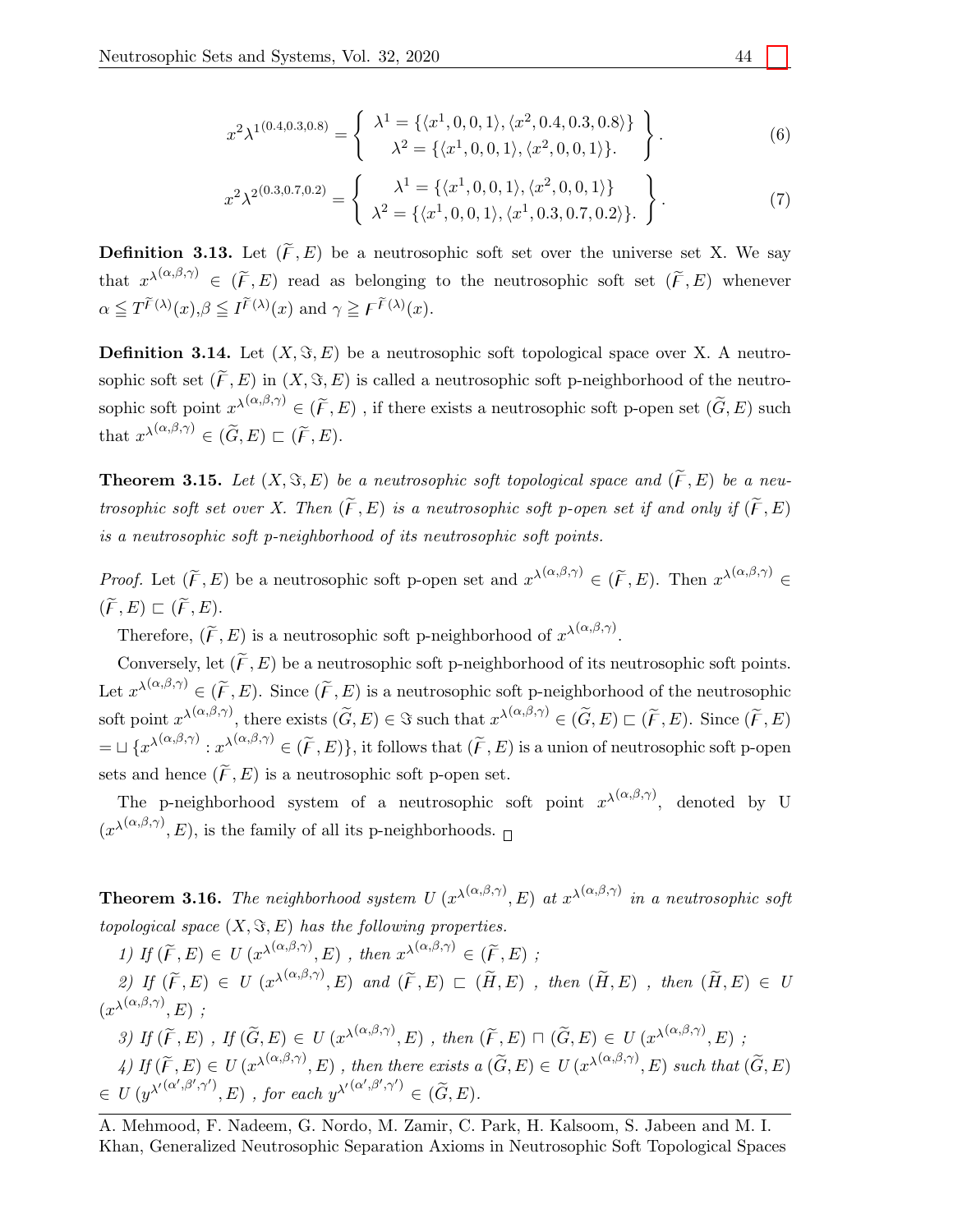$$
x^{2}\lambda^{1(0.4,0.3,0.8)} = \begin{cases} \lambda^{1} = \{ \langle x^{1}, 0, 0, 1 \rangle, \langle x^{2}, 0.4, 0.3, 0.8 \rangle \} \\ \lambda^{2} = \{ \langle x^{1}, 0, 0, 1 \rangle, \langle x^{2}, 0, 0, 1 \rangle \}. \end{cases}
$$
(6)

$$
x^{2}\lambda^{2(0.3,0.7,0.2)} = \begin{cases} \lambda^{1} = \{ \langle x^{1}, 0, 0, 1 \rangle, \langle x^{2}, 0, 0, 1 \rangle \} \\ \lambda^{2} = \{ \langle x^{1}, 0, 0, 1 \rangle, \langle x^{1}, 0.3, 0.7, 0.2 \rangle \}. \end{cases}
$$
(7)

**Definition 3.13.** Let  $(\widetilde{F}, E)$  be a neutrosophic soft set over the universe set X. We say that  $x^{\lambda(\alpha,\beta,\gamma)} \in (\widetilde{F},E)$  read as belonging to the neutrosophic soft set  $(\widetilde{F},E)$  whenever  $\alpha \leq T^{\widetilde{F}(\lambda)}(x), \beta \leq I^{\widetilde{F}(\lambda)}(x)$  and  $\gamma \geq F^{\widetilde{F}(\lambda)}(x)$ .

**Definition 3.14.** Let  $(X, \Im, E)$  be a neutrosophic soft topological space over X. A neutrosophic soft set  $(\widetilde{F}, E)$  in  $(X, \Im, E)$  is called a neutrosophic soft p-neighborhood of the neutrosophic soft point  $x^{\lambda(\alpha,\beta,\gamma)} \in (\widetilde{F},E)$ , if there exists a neutrosophic soft p-open set  $(\widetilde{G},E)$  such that  $x^{\lambda(\alpha,\beta,\gamma)} \in (\widetilde{G},E) \sqsubset (\widetilde{F},E)$ .

**Theorem 3.15.** Let  $(X, \Im, E)$  be a neutrosophic soft topological space and  $(\widetilde{F}, E)$  be a neutrosophic soft set over X. Then  $(\widetilde{F}, E)$  is a neutrosophic soft p-open set if and only if  $(\widetilde{F}, E)$ is a neutrosophic soft p-neighborhood of its neutrosophic soft points.

*Proof.* Let  $(\widetilde{F}, E)$  be a neutrosophic soft p-open set and  $x^{\lambda(\alpha,\beta,\gamma)} \in (\widetilde{F}, E)$ . Then  $x^{\lambda(\alpha,\beta,\gamma)} \in$  $(\widetilde{F}, E) \sqsubset (\widetilde{F}, E).$ 

Therefore,  $(\widetilde{F}, E)$  is a neutrosophic soft p-neighborhood of  $x^{\lambda(\alpha,\beta,\gamma)}$ .

Conversely, let  $(\widetilde{F}, E)$  be a neutrosophic soft p-neighborhood of its neutrosophic soft points. Let  $x^{\lambda(\alpha,\beta,\gamma)} \in (\widetilde{F},E)$ . Since  $(\widetilde{F},E)$  is a neutrosophic soft p-neighborhood of the neutrosophic soft point  $x^{\lambda(\alpha,\beta,\gamma)}$ , there exists  $(\widetilde{G}, E) \in \Im$  such that  $x^{\lambda(\alpha,\beta,\gamma)} \in (\widetilde{G}, E) \sqsubset (\widetilde{F}, E)$ . Since  $(\widetilde{F}, E)$  $=\,\sqcup\,\{x^{\lambda(\alpha,\beta,\gamma)}: x^{\lambda(\alpha,\beta,\gamma)}\in(\widetilde{F},E)\}$ , it follows that  $(\widetilde{F},E)$  is a union of neutrosophic soft p-open sets and hence  $(\widetilde{F}, E)$  is a neutrosophic soft p-open set.

The p-neighborhood system of a neutrosophic soft point  $x^{\lambda(\alpha,\beta,\gamma)}$ , denoted by U  $(x^{\lambda(\alpha,\beta,\gamma)},E)$ , is the family of all its p-neighborhoods.

**Theorem 3.16.** The neighborhood system  $U(x^{\lambda(\alpha,\beta,\gamma)},E)$  at  $x^{\lambda(\alpha,\beta,\gamma)}$  in a neutrosophic soft topological space  $(X, \Im, E)$  has the following properties.

1) If  $(\widetilde{F}, E) \in U(x^{\lambda(\alpha,\beta,\gamma)}, E)$ , then  $x^{\lambda(\alpha,\beta,\gamma)} \in (\widetilde{F}, E)$ ; 2) If  $(\widetilde{F}, E) \in U$   $(x^{\lambda(\alpha,\beta,\gamma)}, E)$  and  $(\widetilde{F}, E) \subset (\widetilde{H}, E)$ , then  $(\widetilde{H}, E)$ , then  $(\widetilde{H}, E) \in U$  $(x^{\lambda(\alpha,\beta,\gamma)},E)$ ; 3) If  $(\widetilde{F}, E)$ , If  $(\widetilde{G}, E) \in U(x^{\lambda(\alpha,\beta,\gamma)}, E)$ , then  $(\widetilde{F}, E) \sqcap (\widetilde{G}, E) \in U(x^{\lambda(\alpha,\beta,\gamma)}, E)$ ; 4) If  $(\widetilde{F}, E) \in U(x^{\lambda(\alpha,\beta,\gamma)}, E)$ , then there exists  $a(\widetilde{G}, E) \in U(x^{\lambda(\alpha,\beta,\gamma)}, E)$  such that  $(\widetilde{G}, E)$  $\in U(g^{\lambda'}^{(\alpha',\beta',\gamma')}, E)$ , for each  $y^{\lambda'}^{(\alpha',\beta',\gamma')} \in (\widetilde{G}, E)$ .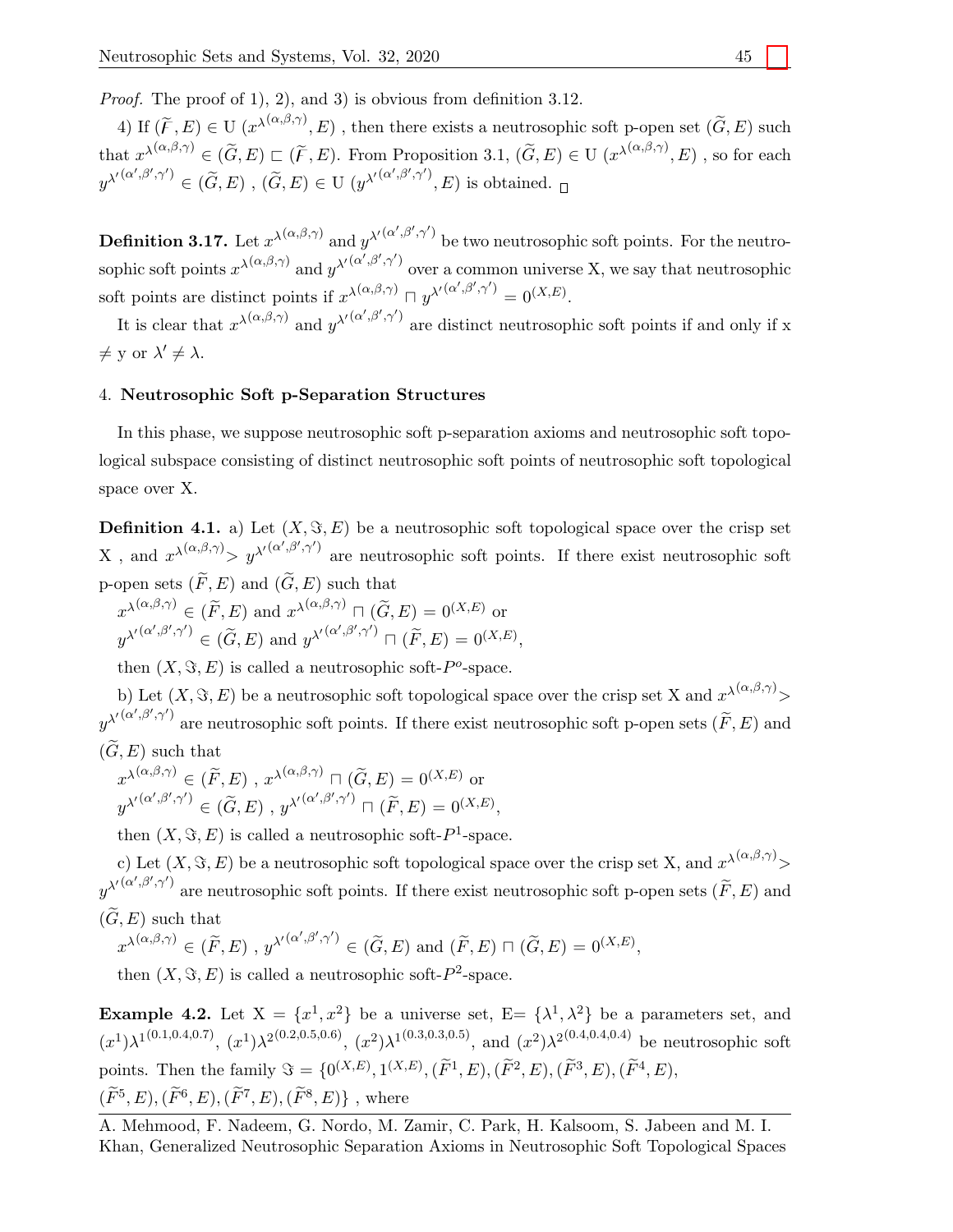Proof. The proof of 1), 2), and 3) is obvious from definition 3.12.

4) If  $(\widetilde{F}, E) \in U$   $(x^{\lambda(\alpha,\beta,\gamma)}, E)$ , then there exists a neutrosophic soft p-open set  $(\widetilde{G}, E)$  such that  $x^{\lambda(\alpha,\beta,\gamma)} \in (\tilde{G},E) \sqsubset (\tilde{F},E)$ . From Proposition 3.1,  $(\tilde{G},E) \in U$   $(x^{\lambda(\alpha,\beta,\gamma)},E)$ , so for each  $y^{\lambda'(\alpha',\beta',\gamma')}\in(\widetilde{G},E)$ ,  $(\widetilde{G},E)\in\mathrm{U}\;(y^{\lambda'(\alpha',\beta',\gamma')},E)$  is obtained.

**Definition 3.17.** Let  $x^{\lambda(\alpha,\beta,\gamma)}$  and  $y^{\lambda'(\alpha',\beta',\gamma')}$  be two neutrosophic soft points. For the neutrosophic soft points  $x^{\lambda(\alpha,\beta,\gamma)}$  and  $y^{\lambda'(\alpha',\beta',\gamma')}$  over a common universe X, we say that neutrosophic soft points are distinct points if  $x^{\lambda(\alpha,\beta,\gamma)} \sqcap y^{\lambda'(\alpha',\beta',\gamma')} = 0^{(X,E)}$ .

It is clear that  $x^{\lambda(\alpha,\beta,\gamma)}$  and  $y^{\lambda'(\alpha',\beta',\gamma')}$  are distinct neutrosophic soft points if and only if x  $\neq$  y or  $\lambda' \neq \lambda$ .

## 4. Neutrosophic Soft p-Separation Structures

In this phase, we suppose neutrosophic soft p-separation axioms and neutrosophic soft topological subspace consisting of distinct neutrosophic soft points of neutrosophic soft topological space over X.

**Definition 4.1.** a) Let  $(X, \Im, E)$  be a neutrosophic soft topological space over the crisp set X, and  $x^{\lambda(\alpha,\beta,\gamma)} > y^{\lambda'(\alpha',\beta',\gamma')}$  are neutrosophic soft points. If there exist neutrosophic soft p-open sets  $(\widetilde{F}, E)$  and  $(\widetilde{G}, E)$  such that

 $x^{\lambda(\alpha,\beta,\gamma)} \in (\widetilde{F},E)$  and  $x^{\lambda(\alpha,\beta,\gamma)} \sqcap (\widetilde{G},E) = 0^{(X,E)}$  or  $y^{\lambda'(\alpha',\beta',\gamma')} \in (\widetilde{G},E)$  and  $y^{\lambda'(\alpha',\beta',\gamma')} \sqcap (\widetilde{F},E) = 0^{(X,E)},$ 

then  $(X, \Im, E)$  is called a neutrosophic soft-P<sup>o</sup>-space.

b) Let  $(X, \Im, E)$  be a neutrosophic soft topological space over the crisp set X and  $x^{\lambda(\alpha,\beta,\gamma)}$  $y^{\lambda'(\alpha',\beta',\gamma')}$  are neutrosophic soft points. If there exist neutrosophic soft p-open sets  $(\widetilde{F},E)$  and  $(\widetilde{G}, E)$  such that

$$
x^{\lambda(\alpha,\beta,\gamma)} \in (\widetilde{F},E), x^{\lambda(\alpha,\beta,\gamma)} \cap (\widetilde{G},E) = 0^{(X,E)} \text{ or}
$$
  

$$
y^{\lambda'(\alpha',\beta',\gamma')} \in (\widetilde{G},E), y^{\lambda'(\alpha',\beta',\gamma')} \cap (\widetilde{F},E) = 0^{(X,E)},
$$

then  $(X, \Im, E)$  is called a neutrosophic soft- $P^1$ -space.

c) Let  $(X, \Im, E)$  be a neutrosophic soft topological space over the crisp set X, and  $x^{\lambda(\alpha,\beta,\gamma)}$  $y^{\lambda'(\alpha',\beta',\gamma')}$  are neutrosophic soft points. If there exist neutrosophic soft p-open sets  $(\widetilde{F},E)$  and  $(\widetilde{G}, E)$  such that

 $x^{\lambda(\alpha,\beta,\gamma)} \in (\widetilde{F},E)$ ,  $y^{\lambda'(\alpha',\beta',\gamma')} \in (\widetilde{G},E)$  and  $(\widetilde{F},E) \sqcap (\widetilde{G},E) = 0^{(X,E)}$ ,

then  $(X, \Im, E)$  is called a neutrosophic soft- $P^2$ -space.

**Example 4.2.** Let  $X = \{x^1, x^2\}$  be a universe set,  $E = \{\lambda^1, \lambda^2\}$  be a parameters set, and  $(x^1)\lambda^{1(0.1,0.4,0.7)}$ ,  $(x^1)\lambda^{2(0.2,0.5,0.6)}$ ,  $(x^2)\lambda^{1(0.3,0.3,0.5)}$ , and  $(x^2)\lambda^{2(0.4,0.4,0.4)}$  be neutrosophic soft points. Then the family  $\mathfrak{S} = \{0^{(X,E)}, 1^{(X,E)}, (\widetilde{F}^1, E), (\widetilde{F}^2, E), (\widetilde{F}^3, E), (\widetilde{F}^4, E), \}$  $(\widetilde{F}^5, E),(\widetilde{F}^6, E),(\widetilde{F}^7, E),(\widetilde{F}^8, E)\}$ , where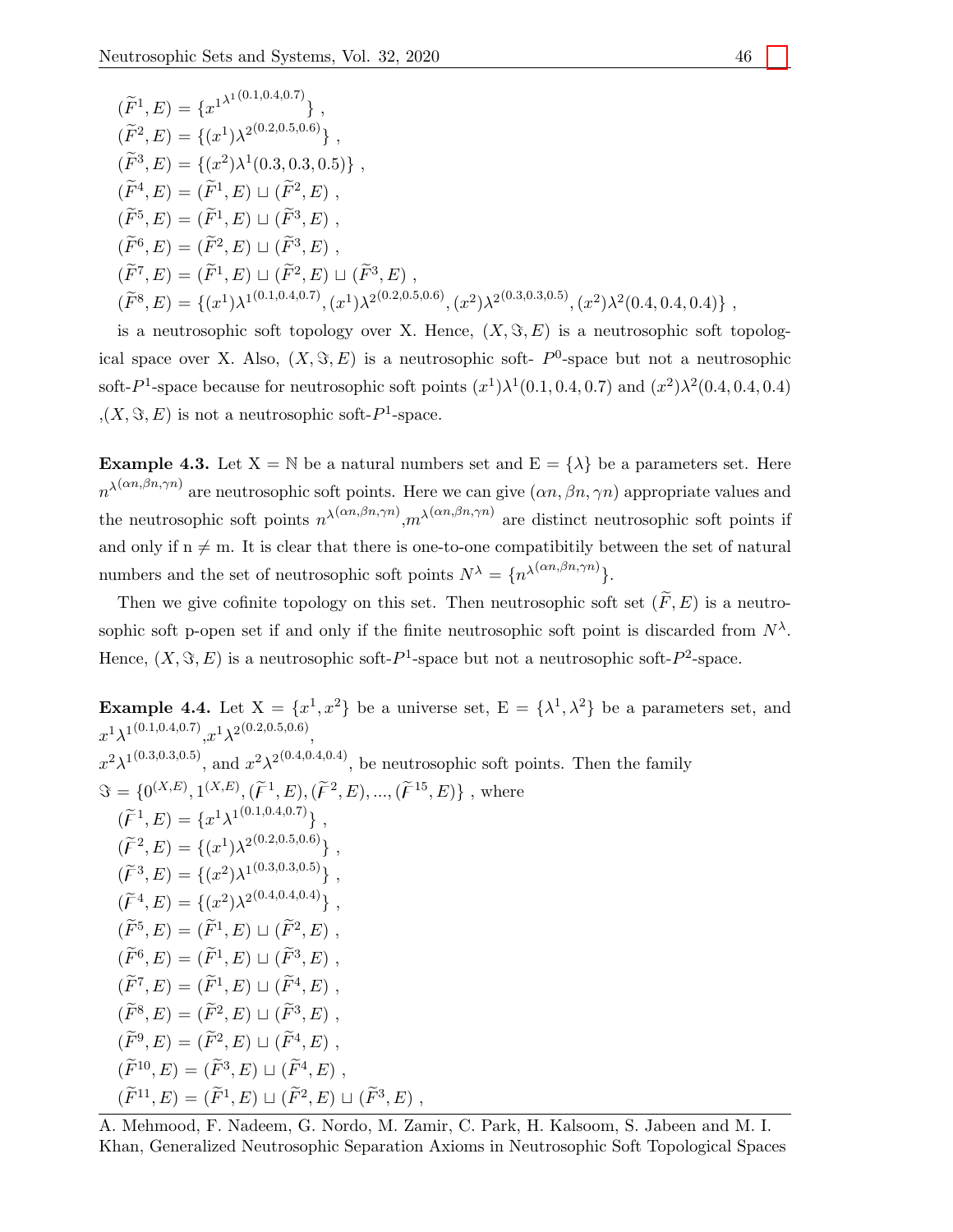$$
(\widetilde{F}^1, E) = \{x^{1^{\lambda^1(0.1, 0.4, 0.7)}}\},
$$
  
\n
$$
(\widetilde{F}^2, E) = \{(x^1)\lambda^{2(0.2, 0.5, 0.6)}\},
$$
  
\n
$$
(\widetilde{F}^3, E) = \{(x^2)\lambda^1(0.3, 0.3, 0.5)\},
$$
  
\n
$$
(\widetilde{F}^4, E) = (\widetilde{F}^1, E) \sqcup (\widetilde{F}^2, E),
$$
  
\n
$$
(\widetilde{F}^5, E) = (\widetilde{F}^1, E) \sqcup (\widetilde{F}^3, E),
$$
  
\n
$$
(\widetilde{F}^6, E) = (\widetilde{F}^2, E) \sqcup (\widetilde{F}^3, E),
$$
  
\n
$$
(\widetilde{F}^7, E) = (\widetilde{F}^1, E) \sqcup (\widetilde{F}^2, E) \sqcup (\widetilde{F}^3, E),
$$
  
\n
$$
(\widetilde{F}^8, E) = \{(x^1)\lambda^{1(0.1, 0.4, 0.7)}, (x^1)\lambda^{2(0.2, 0.5, 0.6)}, (x^2)\lambda^{2(0.3, 0.3, 0.5)}, (x^2)\lambda^2(0.4, 0.4, 0.4)\},
$$

is a neutrosophic soft topology over X. Hence,  $(X, \Im, E)$  is a neutrosophic soft topological space over X. Also,  $(X, \Im, E)$  is a neutrosophic soft-  $P^0$ -space but not a neutrosophic soft- $P^1$ -space because for neutrosophic soft points  $(x^1)\lambda^1(0.1, 0.4, 0.7)$  and  $(x^2)\lambda^2(0.4, 0.4, 0.4)$  $(X, \Im, E)$  is not a neutrosophic soft- $P^1$ -space.

**Example 4.3.** Let  $X = \mathbb{N}$  be a natural numbers set and  $E = \{\lambda\}$  be a parameters set. Here  $n^{\lambda(\alpha n,\beta n,\gamma n)}$  are neutrosophic soft points. Here we can give  $(\alpha n,\beta n,\gamma n)$  appropriate values and the neutrosophic soft points  $n^{\lambda(\alpha n,\beta n,\gamma n)}$ ,  $m^{\lambda(\alpha n,\beta n,\gamma n)}$  are distinct neutrosophic soft points if and only if  $n \neq m$ . It is clear that there is one-to-one compatibitily between the set of natural numbers and the set of neutrosophic soft points  $N^{\lambda} = \{n^{\lambda(\alpha n, \beta n, \gamma n)}\}.$ 

Then we give cofinite topology on this set. Then neutrosophic soft set  $(\widetilde{F}, E)$  is a neutrosophic soft p-open set if and only if the finite neutrosophic soft point is discarded from  $N^{\lambda}$ . Hence,  $(X, \Im, E)$  is a neutrosophic soft- $P<sup>1</sup>$ -space but not a neutrosophic soft- $P<sup>2</sup>$ -space.

**Example 4.4.** Let  $X = \{x^1, x^2\}$  be a universe set,  $E = \{\lambda^1, \lambda^2\}$  be a parameters set, and  $x^{1}\lambda^{1(0.1,0.4,0.7)}$ , $x^{1}\lambda^{2(0.2,0.5,0.6)}$  $x^2\lambda^{1(0.3,0.3,0.5)}$ , and  $x^2\lambda^{2(0.4,0.4,0.4)}$ , be neutrosophic soft points. Then the family  $\mathfrak{S} = \{0^{(X,E)}, 1^{(X,E)}, (\tilde{F}^1, E), (\tilde{F}^2, E), ..., (\tilde{F}^{15}, E)\}\;$ , where  $(\widetilde{F}^1, E) = \{x^1\lambda^{1(0.1, 0.4, 0.7)}\}$  $(\widetilde{\digamma}^2, E) = \{(x^1)\lambda^{2(0.2, 0.5, 0.6)}\},$  $(\widetilde{\digamma}^3, E) = \{(x^2)\lambda^{1(0.3, 0.3, 0.5)}\},$  $(\widetilde{\mathcal{F}}^4, E) = \{(x^2)\lambda^{2(0.4, 0.4, 0.4)}\}$  $(\widetilde{F}^5, E) = (\widetilde{F}^1, E) \sqcup (\widetilde{F}^2, E)$ ,  $(\widetilde{F}^6, E) = (\widetilde{F}^1, E) \sqcup (\widetilde{F}^3, E)$  $(\widetilde{F}^7, E) = (\widetilde{F}^1, E) \sqcup (\widetilde{F}^4, E)$ .  $(\widetilde{F}^8, E) = (\widetilde{F}^2, E) \sqcup (\widetilde{F}^3, E)$ ,  $(\widetilde{F}^9, E) = (\widetilde{F}^2, E) \sqcup (\widetilde{F}^4, E)$ ,  $(\widetilde{F}^{10}, E) = (\widetilde{F}^3, E) \sqcup (\widetilde{F}^4, E)$ ,  $(\widetilde{F}^{11}, E) = (\widetilde{F}^{1}, E) \sqcup (\widetilde{F}^{2}, E) \sqcup (\widetilde{F}^{3}, E)$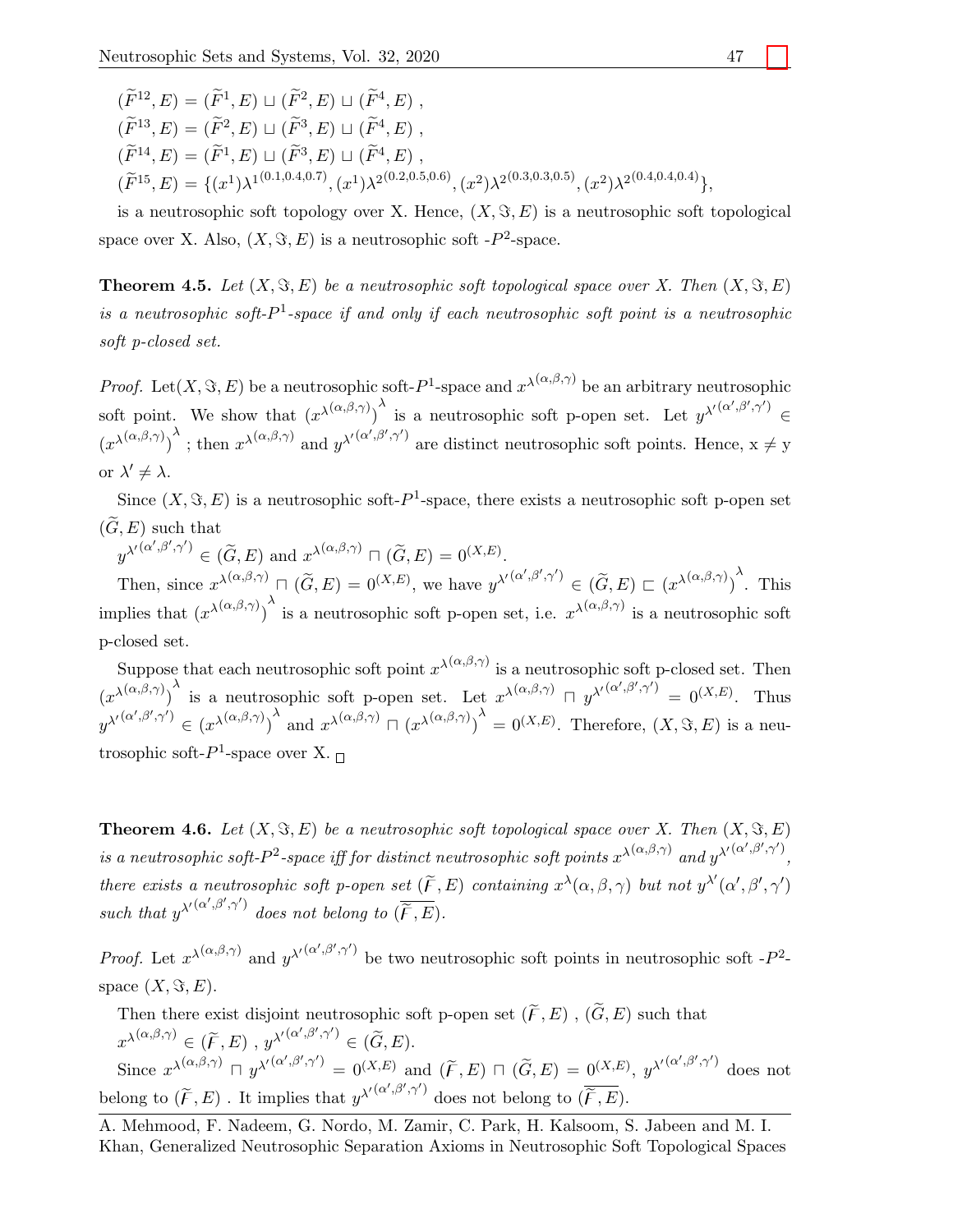$(\widetilde{F}^{12}, E) = (\widetilde{F}^{1}, E) \sqcup (\widetilde{F}^{2}, E) \sqcup (\widetilde{F}^{4}, E)$  $(\widetilde{F}^{13}, E) = (\widetilde{F}^{2}, E) \sqcup (\widetilde{F}^{3}, E) \sqcup (\widetilde{F}^{4}, E)$  $(\widetilde{F}^{14}, E) = (\widetilde{F}^{1}, E) \sqcup (\widetilde{F}^{3}, E) \sqcup (\widetilde{F}^{4}, E)$ ,  $(\widetilde{F}^{15}, E) = \{(x^1)\lambda^{1(0.1, 0.4, 0.7)},(x^1)\lambda^{2(0.2, 0.5, 0.6)},(x^2)\lambda^{2(0.3, 0.3, 0.5)},(x^2)\lambda^{2(0.4, 0.4, 0.4)}\}.$ 

is a neutrosophic soft topology over X. Hence,  $(X, \Im, E)$  is a neutrosophic soft topological space over X. Also,  $(X, \Im, E)$  is a neutrosophic soft - $P^2$ -space.

**Theorem 4.5.** Let  $(X, \Im, E)$  be a neutrosophic soft topological space over X. Then  $(X, \Im, E)$ is a neutrosophic soft- $P^1$ -space if and only if each neutrosophic soft point is a neutrosophic soft p-closed set.

*Proof.* Let  $(X, \Im, E)$  be a neutrosophic soft- $P^1$ -space and  $x^{\lambda(\alpha,\beta,\gamma)}$  be an arbitrary neutrosophic soft point. We show that  $(x^{\lambda(\alpha,\beta,\gamma)})^{\lambda}$  is a neutrosophic soft p-open set. Let  $y^{\lambda'(\alpha',\beta',\gamma')} \in$  $(x^{\lambda(\alpha,\beta,\gamma)})^{\lambda}$ ; then  $x^{\lambda(\alpha,\beta,\gamma)}$  and  $y^{\lambda'(\alpha',\beta',\gamma')}$  are distinct neutrosophic soft points. Hence,  $x \neq y$ or  $\lambda' \neq \lambda$ .

Since  $(X, \Im, E)$  is a neutrosophic soft- $P^1$ -space, there exists a neutrosophic soft p-open set  $(\tilde{G}, E)$  such that

 $y^{\lambda'(\alpha',\beta',\gamma')} \in (\widetilde{G}, E)$  and  $x^{\lambda(\alpha,\beta,\gamma)} \sqcap (\widetilde{G}, E) = 0^{(X,E)}.$ 

Then, since  $x^{\lambda(\alpha,\beta,\gamma)} \sqcap (\widetilde{G},E) = 0^{(X,E)},$  we have  $y^{\lambda'(\alpha',\beta',\gamma')} \in (\widetilde{G},E) \sqsubset (x^{\lambda(\alpha,\beta,\gamma)})^{\lambda}$ . This implies that  $(x^{\lambda(\alpha,\beta,\gamma)})^{\lambda}$  is a neutrosophic soft p-open set, i.e.  $x^{\lambda(\alpha,\beta,\gamma)}$  is a neutrosophic soft p-closed set.

Suppose that each neutrosophic soft point  $x^{\lambda(\alpha,\beta,\gamma)}$  is a neutrosophic soft p-closed set. Then  $(x^{\lambda(\alpha,\beta,\gamma)})^{\lambda}$  is a neutrosophic soft p-open set. Let  $x^{\lambda(\alpha,\beta,\gamma)} \cap y^{\lambda'(\alpha',\beta',\gamma')} = 0^{(X,E)}$ . Thus  $y^{\lambda'(\alpha',\beta',\gamma')} \in (\mathcal{X}^{\lambda(\alpha,\beta,\gamma)})^{\lambda}$  and  $\mathcal{X}^{\lambda(\alpha,\beta,\gamma)} \cap (\mathcal{X}^{\lambda(\alpha,\beta,\gamma)})^{\lambda} = 0^{(X,E)}$ . Therefore,  $(X,\Im, E)$  is a neutrosophic soft- $P^1$ -space over X.

**Theorem 4.6.** Let  $(X, \Im, E)$  be a neutrosophic soft topological space over X. Then  $(X, \Im, E)$ is a neutrosophic soft- $P^2$ -space iff for distinct neutrosophic soft points  $x^{\lambda(\alpha,\beta,\gamma)}$  and  $y^{\lambda'(\alpha',\beta',\gamma')}$ , there exists a neutrosophic soft p-open set  $(\widetilde{F}, E)$  containing  $x^{\lambda}(\alpha, \beta, \gamma)$  but not  $y^{\lambda'}(\alpha', \beta', \gamma')$ such that  $y^{\lambda'(\alpha',\beta',\gamma')}$  does not belong to  $(\overline{\widetilde{F},E})$ .

*Proof.* Let  $x^{\lambda(\alpha,\beta,\gamma)}$  and  $y^{\lambda'(\alpha',\beta',\gamma')}$  be two neutrosophic soft points in neutrosophic soft -P<sup>2</sup>space  $(X, \Im, E)$ .

Then there exist disjoint neutrosophic soft p-open set  $(\widetilde{F}, E)$  ,  $(\widetilde{G}, E)$  such that  $x^{\lambda(\alpha,\beta,\gamma)} \in (\widetilde{F},E)$ ,  $y^{\lambda'(\alpha',\beta',\gamma')} \in (\widetilde{G},E).$ Since  $x^{\lambda(\alpha,\beta,\gamma)} \sqcap y^{\lambda'(\alpha',\beta',\gamma')} = 0^{(X,E)}$  and  $(\widetilde{F},E) \sqcap (\widetilde{G},E) = 0^{(X,E)}$ ,  $y^{\lambda'(\alpha',\beta',\gamma')}$  does not belong to  $(\widetilde{F}, E)$ . It implies that  $y^{\lambda'}(\alpha', \beta', \gamma')$  does not belong to  $(\overline{\widetilde{F}}, E)$ .

A. Mehmood, F. Nadeem, G. Nordo, M. Zamir, C. Park, H. Kalsoom, S. Jabeen and M. I. Khan, Generalized Neutrosophic Separation Axioms in Neutrosophic Soft Topological Spaces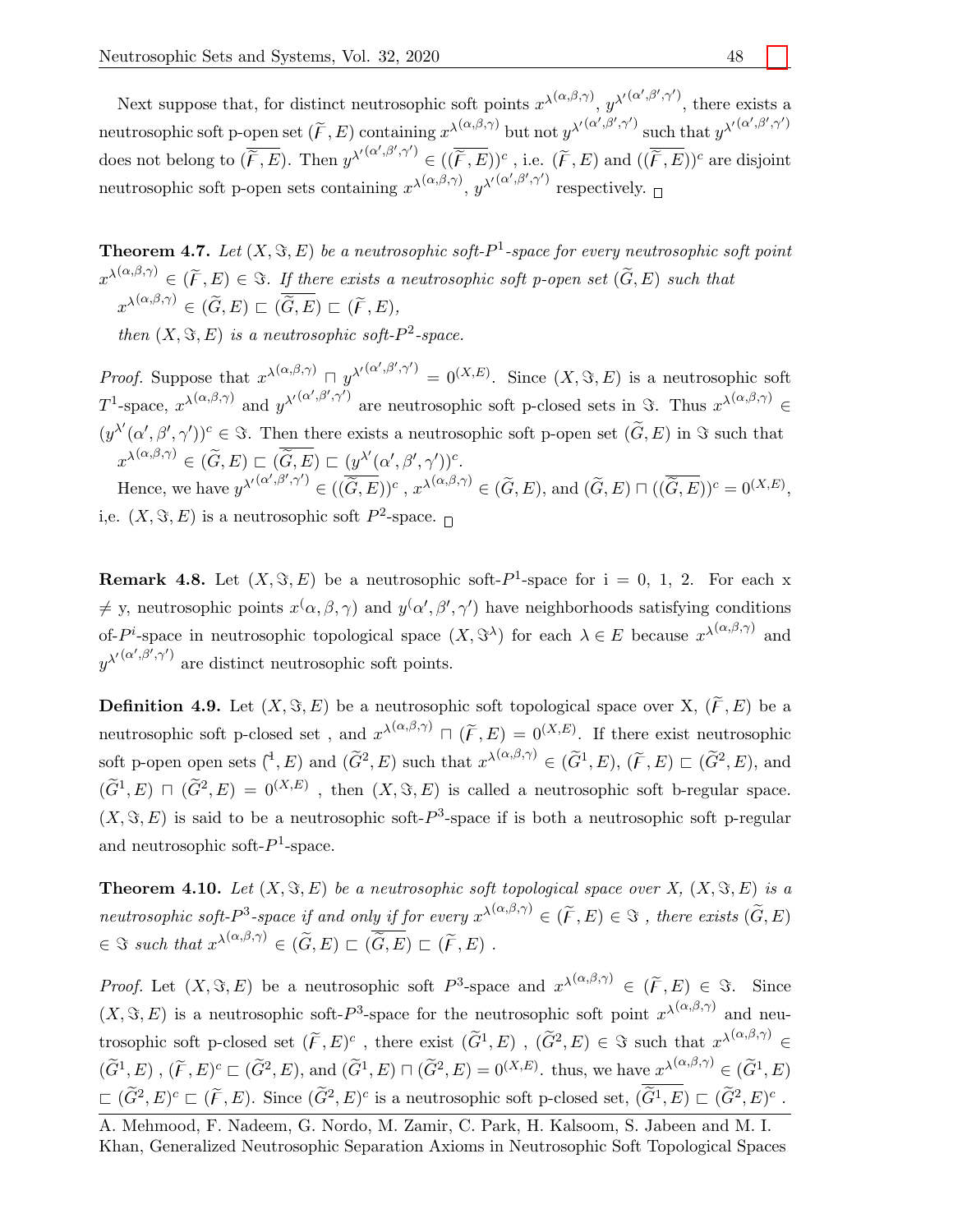Next suppose that, for distinct neutrosophic soft points  $x^{\lambda(\alpha,\beta,\gamma)}$ ,  $y^{\lambda'(\alpha',\beta',\gamma')}$ , there exists a neutrosophic soft p-open set  $(\widetilde{F}, E)$  containing  $x^{\lambda(\alpha,\beta,\gamma)}$  but not  $y^{\lambda'(\alpha',\beta',\gamma')}$  such that  $y^{\lambda'(\alpha',\beta',\gamma')}$ does not belong to  $(\overline{\widetilde{F},E})$ . Then  $y^{\lambda'(\alpha',\beta',\gamma')} \in ((\overline{\widetilde{F},E}))^c$ , i.e.  $(\widetilde{F},E)$  and  $((\overline{\widetilde{F},E}))^c$  are disjoint neutrosophic soft p-open sets containing  $x^{\lambda(\alpha,\beta,\gamma)}$ ,  $y^{\lambda'(\alpha',\beta',\gamma')}$  respectively.

**Theorem 4.7.** Let  $(X, \Im, E)$  be a neutrosophic soft- $P<sup>1</sup>$ -space for every neutrosophic soft point  $x^{\lambda(\alpha,\beta,\gamma)} \in (\widetilde{F},E) \in \Im$ . If there exists a neutrosophic soft p-open set  $(\widetilde{G},E)$  such that  $x^{\lambda(\alpha,\beta,\gamma)} \in (\widetilde{G},E) \sqsubset (\overline{\widetilde{G}},E) \sqsubset (\widetilde{F},E),$ 

then  $(X, \Im, E)$  is a neutrosophic soft- $P^2$ -space.

*Proof.* Suppose that  $x^{\lambda(\alpha,\beta,\gamma)} \square y^{\lambda'(\alpha',\beta',\gamma')} = 0^{(X,E)}$ . Since  $(X, \Im, E)$  is a neutrosophic soft T<sup>1</sup>-space,  $x^{\lambda(\alpha,\beta,\gamma)}$  and  $y^{\lambda'(\alpha',\beta',\gamma')}$  are neutrosophic soft p-closed sets in  $\Im$ . Thus  $x^{\lambda(\alpha,\beta,\gamma)} \in$  $(y^{\lambda\prime}(\alpha', \beta', \gamma'))^c \in \Im$ . Then there exists a neutrosophic soft p-open set  $(\widetilde{G}, E)$  in  $\Im$  such that  $x^{\lambda(\alpha,\beta,\gamma)} \in (\widetilde{G},E) \sqsubset ( \overline{\widetilde{G},E}) \sqsubset (y^{\lambda'}(\alpha',\beta',\gamma'))^c.$ Hence, we have  $y^{\lambda'(\alpha',\beta',\gamma')}\in ((\overline{\widetilde{G},E}))^c$ ,  $x^{\lambda(\alpha,\beta,\gamma)}\in (\widetilde{G},E)$ , and  $(\widetilde{G},E)\sqcap ((\overline{\widetilde{G},E}))^c=0^{(X,E)}$ ,

i,e.  $(X, \Im, E)$  is a neutrosophic soft  $P^2$ -space.  $\Box$ 

**Remark 4.8.** Let  $(X, \Im, E)$  be a neutrosophic soft- $P^1$ -space for  $i = 0, 1, 2$ . For each x  $\neq$  y, neutrosophic points  $x(\alpha,\beta,\gamma)$  and  $y(\alpha',\beta',\gamma')$  have neighborhoods satisfying conditions of-P<sup>i</sup>-space in neutrosophic topological space  $(X, \Im^{\lambda})$  for each  $\lambda \in E$  because  $x^{\lambda(\alpha,\beta,\gamma)}$  and  $y^{\lambda'(\alpha',\beta',\gamma')}$  are distinct neutrosophic soft points.

**Definition 4.9.** Let  $(X, \Im, E)$  be a neutrosophic soft topological space over X,  $(\widetilde{F}, E)$  be a neutrosophic soft p-closed set, and  $x^{\lambda(\alpha,\beta,\gamma)} \sqcap (\widetilde{F},E) = 0^{(X,E)}$ . If there exist neutrosophic soft p-open open sets  $({}^{4}, E)$  and  $(\widetilde{G}^{2}, E)$  such that  $x^{\lambda(\alpha,\beta,\gamma)} \in (\widetilde{G}^{1}, E)$ ,  $(\widetilde{F}, E) \sqsubset (\widetilde{G}^{2}, E)$ , and  $(\widetilde{G}^1, E) \,\,\sqcap\,\, (\widetilde{G}^2, E) = 0^{(X,E)}$ , then  $(X, \Im, E)$  is called a neutrosophic soft b-regular space.  $(X, \Im, E)$  is said to be a neutrosophic soft- $P^3$ -space if is both a neutrosophic soft p-regular and neutrosophic soft- $P<sup>1</sup>$ -space.

**Theorem 4.10.** Let  $(X, \Im, E)$  be a neutrosophic soft topological space over X,  $(X, \Im, E)$  is a neutrosophic soft- $P^3$ -space if and only if for every  $x^{\lambda(\alpha,\beta,\gamma)} \in (\widetilde{F},E) \in \mathcal{F}$ , there exists  $(\widetilde{G},E)$  $\in \Im \ such \ that \ x^{\lambda(\alpha,\beta,\gamma)} \in (\widetilde{G}, E) \sqsubset (\widetilde{\widetilde{G}}, E) \sqsubset (\widetilde{F}, E) \ .$ 

*Proof.* Let  $(X, \Im, E)$  be a neutrosophic soft  $P^3$ -space and  $x^{\lambda(\alpha,\beta,\gamma)} \in (\widetilde{F}, E) \in \Im$ . Since  $(X, \Im, E)$  is a neutrosophic soft-P<sup>3</sup>-space for the neutrosophic soft point  $x^{\lambda(\alpha,\beta,\gamma)}$  and neutrosophic soft p-closed set  $(\widetilde{F}, E)^c$ , there exist  $(\widetilde{G}^1, E)$ ,  $(\widetilde{G}^2, E) \in \Im$  such that  $x^{\lambda(\alpha,\beta,\gamma)} \in$  $(\widetilde{G}^1, E)$ ,  $(\widetilde{F}, E)^c \sqsubset (\widetilde{G}^2, E)$ , and  $(\widetilde{G}^1, E) \sqcap (\widetilde{G}^2, E) = 0^{(X,E)}$ . thus, we have  $x^{\lambda(\alpha,\beta,\gamma)} \in (\widetilde{G}^1, E)$  $\subset (\widetilde{G}^2, E)^c \subset (\widetilde{F}, E)$ . Since  $(\widetilde{G}^2, E)^c$  is a neutrosophic soft p-closed set,  $(\overline{\widetilde{G}^1, E}) \subset (\widetilde{G}^2, E)^c$ .

A. Mehmood, F. Nadeem, G. Nordo, M. Zamir, C. Park, H. Kalsoom, S. Jabeen and M. I. Khan, Generalized Neutrosophic Separation Axioms in Neutrosophic Soft Topological Spaces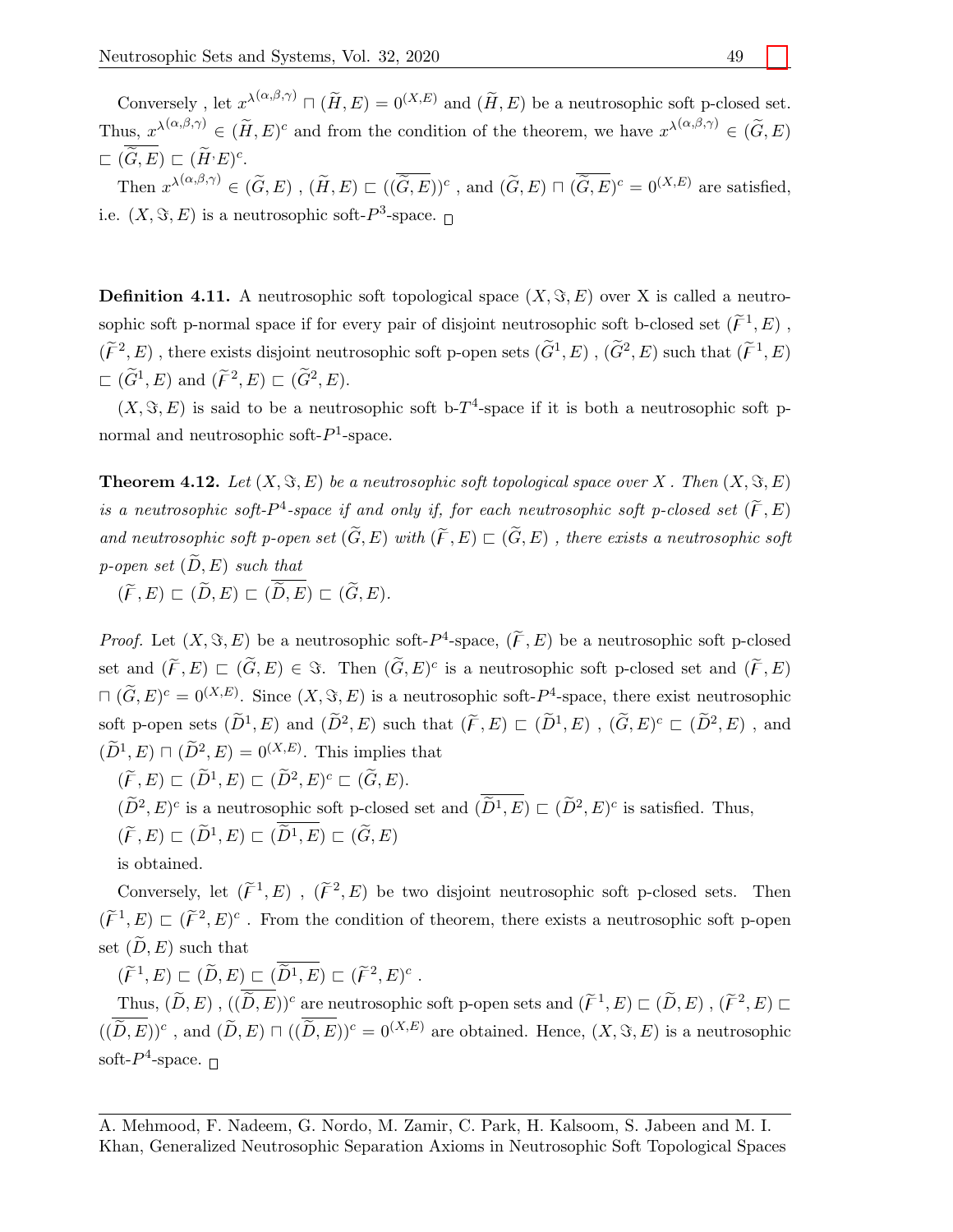Conversely, let  $x^{\lambda(\alpha,\beta,\gamma)} \sqcap (\widetilde{H}, E) = 0^{(X,E)}$  and  $(\widetilde{H}, E)$  be a neutrosophic soft p-closed set. Thus,  $x^{\lambda(\alpha,\beta,\gamma)} \in (\widetilde{H},E)^c$  and from the condition of the theorem, we have  $x^{\lambda(\alpha,\beta,\gamma)} \in (\widetilde{G},E)$  $\sqsubset\ (\widetilde{G},E)\sqsubset(\widetilde{H}^{\cdot}E)^c.$ Then  $x^{\lambda(\alpha,\beta,\gamma)} \in (\widetilde{G},E)$ ,  $(\widetilde{H},E) \sqsubset ((\overline{\widetilde{G},E}))^c$ , and  $(\widetilde{G},E) \sqcap (\overline{\widetilde{G},E})^c = 0^{(X,E)}$  are satisfied, i.e.  $(X, \Im, E)$  is a neutrosophic soft- $P^3$ -space.

**Definition 4.11.** A neutrosophic soft topological space  $(X, \Im, E)$  over X is called a neutrosophic soft p-normal space if for every pair of disjoint neutrosophic soft b-closed set  $(\widetilde{F}^1, E)$ ,

 $(\widetilde{F}^2, E)$ , there exists disjoint neutrosophic soft p-open sets  $(\widetilde{G}^1, E)$ ,  $(\widetilde{G}^2, E)$  such that  $(\widetilde{F}^1, E)$  $\subset (\widetilde{G}^1, E)$  and  $(\widetilde{F}^2, E) \subset (\widetilde{G}^2, E)$ .

 $(X, \Im, E)$  is said to be a neutrosophic soft b-T<sup>4</sup>-space if it is both a neutrosophic soft pnormal and neutrosophic soft- $P<sup>1</sup>$ -space.

**Theorem 4.12.** Let  $(X, \Im, E)$  be a neutrosophic soft topological space over X. Then  $(X, \Im, E)$ is a neutrosophic soft- $P^4$ -space if and only if, for each neutrosophic soft p-closed set  $(\widetilde{F}, E)$ and neutrosophic soft p-open set  $(\widetilde{G}, E)$  with  $(\widetilde{F}, E) \subset (\widetilde{G}, E)$ , there exists a neutrosophic soft p-open set  $(\widetilde{D}, E)$  such that

 $(\widetilde{F}, E) \sqsubset (\widetilde{D}, E) \sqsubset (\overline{\widetilde{D}, E}) \sqsubset (\widetilde{G}, E).$ 

*Proof.* Let  $(X, \Im, E)$  be a neutrosophic soft- $P^4$ -space,  $(\widetilde{F}, E)$  be a neutrosophic soft p-closed set and  $(\widetilde{F}, E) \sqsubset (\widetilde{G}, E) \in \Im$ . Then  $(\widetilde{G}, E)^c$  is a neutrosophic soft p-closed set and  $(\widetilde{F}, E)$  $\Box$   $(\widetilde{G}, E)^c = 0^{(X,E)}$ . Since  $(X, \Im, E)$  is a neutrosophic soft- $P^4$ -space, there exist neutrosophic soft p-open sets  $(\tilde{D}^1, E)$  and  $(\tilde{D}^2, E)$  such that  $(\tilde{F}, E) \subset (\tilde{D}^1, E)$ ,  $(\tilde{G}, E)^c \subset (\tilde{D}^2, E)$ , and  $(\widetilde{D}^1, E) \sqcap (\widetilde{D}^2, E) = 0^{(X,E)}$ . This implies that

 $(\widetilde{F}, E) \sqsubset (\widetilde{D}^1, E) \sqsubset (\widetilde{D}^2, E)^c \sqsubset (\widetilde{G}, E).$ 

 $(\widetilde{D}^2, E)^c$  is a neutrosophic soft p-closed set and  $(\widetilde{D}^1, E) \subset (\widetilde{D}^2, E)^c$  is satisfied. Thus,

 $(\widetilde{F}, E) \sqsubset (\widetilde{D}^1, E) \sqsubset (\overline{\widetilde{D}^1}, E) \sqsubset (\widetilde{G}, E)$ 

is obtained.

Conversely, let  $(\widetilde{F}^1, E)$ ,  $(\widetilde{F}^2, E)$  be two disjoint neutrosophic soft p-closed sets. Then  $(\widetilde{F}^1, E) \subset (\widetilde{F}^2, E)^c$ . From the condition of theorem, there exists a neutrosophic soft p-open set  $(D, E)$  such that

 $(\widetilde{F}^1,E) \subset (\widetilde{D},E) \subset (\overline{\widetilde{D}^1,E}) \subset (\widetilde{F}^2,E)^c$ .

Thus,  $(\widetilde{D}, E)$ ,  $((\widetilde{D}, E))^c$  are neutrosophic soft p-open sets and  $(\widetilde{F}^1, E) \sqsubset (\widetilde{D}, E)$ ,  $(\widetilde{F}^2, E) \sqsubset$  $((\overline{\widetilde{D}, E}))^c$ , and  $(\widetilde{D}, E) \sqcap ((\overline{\widetilde{D}, E}))^c = 0^{(X,E)}$  are obtained. Hence,  $(X, \Im, E)$  is a neutrosophic soft- $P^4$ -space.  $\Box$ 

A. Mehmood, F. Nadeem, G. Nordo, M. Zamir, C. Park, H. Kalsoom, S. Jabeen and M. I. Khan, Generalized Neutrosophic Separation Axioms in Neutrosophic Soft Topological Spaces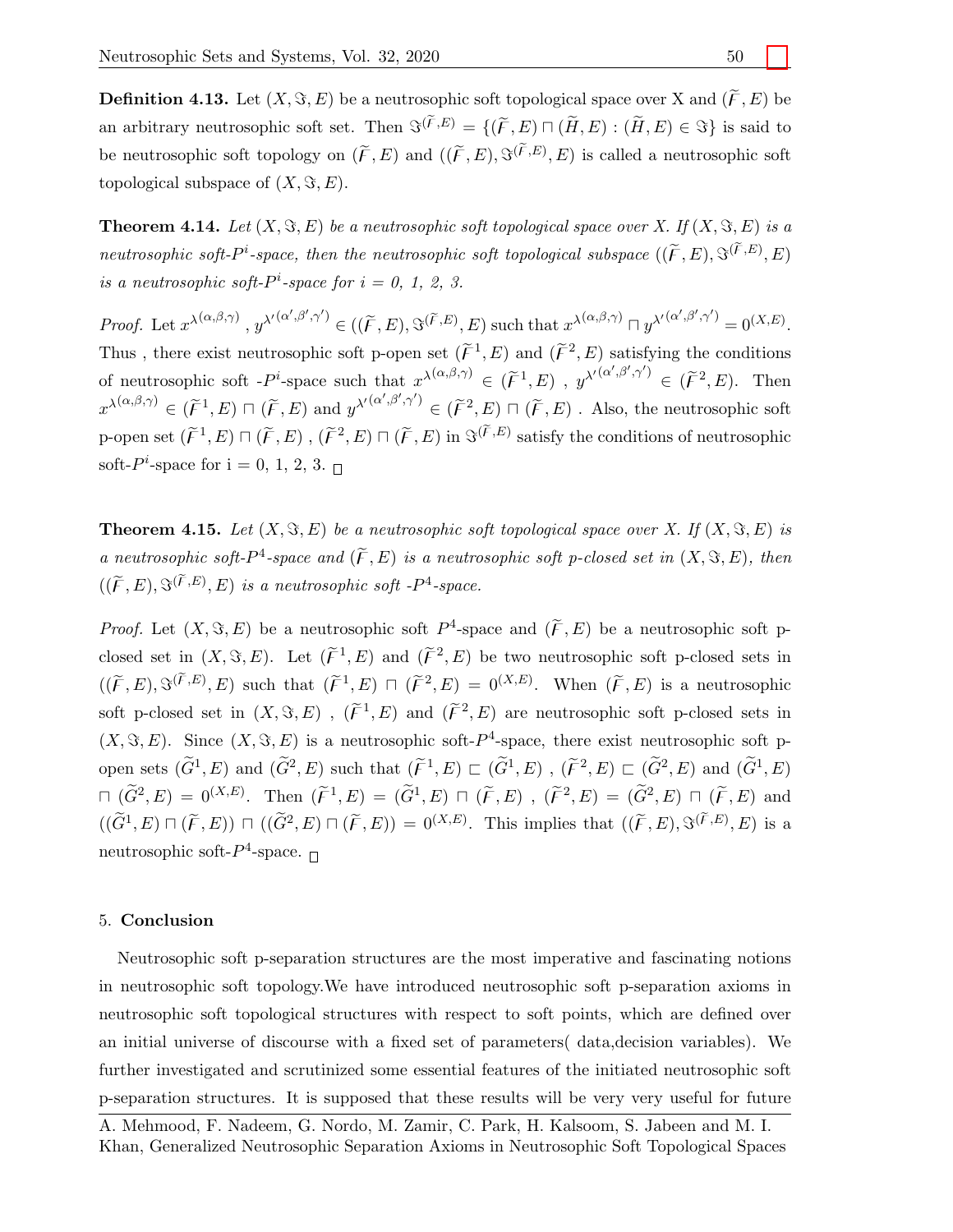**Definition 4.13.** Let  $(X, \Im, E)$  be a neutrosophic soft topological space over X and  $(\widetilde{F}, E)$  be an arbitrary neutrosophic soft set. Then  $\mathfrak{F}^{(\widetilde{F},E)} = \{(\widetilde{F},E) \sqcap (\widetilde{H},E) : (\widetilde{H},E) \in \mathfrak{F}\}\)$  is said to be neutrosophic soft topology on  $(\tilde{F}, E)$  and  $((\tilde{F}, E), \Im^{(\tilde{F},E)}, E)$  is called a neutrosophic soft topological subspace of  $(X, \Im, E)$ .

**Theorem 4.14.** Let  $(X, \Im, E)$  be a neutrosophic soft topological space over X. If  $(X, \Im, E)$  is a neutrosophic soft- $P^i$ -space, then the neutrosophic soft topological subspace  $((\widetilde{F}, E), \Im^{(\widetilde{F}, E)}, E)$ is a neutrosophic soft- $P^i$ -space for  $i = 0, 1, 2, 3$ .

Proof. Let  $x^{\lambda(\alpha,\beta,\gamma)}$ ,  $y^{\lambda'}^{(\alpha',\beta',\gamma')} \in ((\widetilde{F},E), \Im^{(\widetilde{F},E)},E)$  such that  $x^{\lambda(\alpha,\beta,\gamma)} \sqcap y^{\lambda'(\alpha',\beta',\gamma')} = 0^{(X,E)}$ . Thus, there exist neutrosophic soft p-open set  $(\widetilde{F}^1, E)$  and  $(\widetilde{F}^2, E)$  satisfying the conditions of neutrosophic soft  $-P^i$ -space such that  $x^{\lambda(\alpha,\beta,\gamma)} \in (\tilde{F}^1, E)$ ,  $y^{\lambda'(\alpha',\beta',\gamma')} \in (\tilde{F}^2, E)$ . Then  $x^{\lambda(\alpha,\beta,\gamma)} \in (\tilde{\mathcal{F}}^1, E) \sqcap (\tilde{\mathcal{F}}, E)$  and  $y^{\lambda'(\alpha',\beta',\gamma')} \in (\tilde{\mathcal{F}}^2, E) \sqcap (\tilde{\mathcal{F}}, E)$ . Also, the neutrosophic soft p-open set  $(\widetilde{F}^1, E) \sqcap (\widetilde{F}, E)$ ,  $(\widetilde{F}^2, E) \sqcap (\widetilde{F}, E)$  in  $\Im^{(\widetilde{F}, E)}$  satisfy the conditions of neutrosophic soft- $P^i$ -space for  $i = 0, 1, 2, 3$ .

**Theorem 4.15.** Let  $(X, \Im, E)$  be a neutrosophic soft topological space over X. If  $(X, \Im, E)$  is a neutrosophic soft- $P^4$ -space and  $(\widetilde{F}, E)$  is a neutrosophic soft p-closed set in  $(X, \Im, E)$ , then  $((\widetilde{F}, E), \Im^{(\widetilde{F}, E)}, E)$  is a neutrosophic soft -P<sup>4</sup>-space.

*Proof.* Let  $(X, \Im, E)$  be a neutrosophic soft  $P^4$ -space and  $(\widetilde{F}, E)$  be a neutrosophic soft pclosed set in  $(X, \Im, E)$ . Let  $(\widetilde{F}^1, E)$  and  $(\widetilde{F}^2, E)$  be two neutrosophic soft p-closed sets in  $((\widetilde{F},E),\mathfrak{F}^{(\widetilde{F},E)},E)$  such that  $(\widetilde{F}^1,E)\sqcap(\widetilde{F}^2,E)=0^{(X,E)}$ . When  $(\widetilde{F},E)$  is a neutrosophic soft p-closed set in  $(X, \Im, E)$ ,  $(\widetilde{F}^1, E)$  and  $(\widetilde{F}^2, E)$  are neutrosophic soft p-closed sets in  $(X, \Im, E)$ . Since  $(X, \Im, E)$  is a neutrosophic soft- $P^4$ -space, there exist neutrosophic soft popen sets  $(\widetilde{G}^1, E)$  and  $(\widetilde{G}^2, E)$  such that  $(\widetilde{F}^1, E) \subset (\widetilde{G}^1, E)$ ,  $(\widetilde{F}^2, E) \subset (\widetilde{G}^2, E)$  and  $(\widetilde{G}^1, E)$  $\Box$   $(\widetilde{G}^2, E) = 0^{(X,E)}$ . Then  $(\widetilde{F}^1, E) = (\widetilde{G}^1, E) \Box (\widetilde{F}, E)$ ,  $(\widetilde{F}^2, E) = (\widetilde{G}^2, E) \Box (\widetilde{F}, E)$  and  $((\widetilde{G}^1,E)\sqcap(\widetilde{F},E))\sqcap((\widetilde{G}^2,E)\sqcap(\widetilde{F},E))=0^{(X,E)}.$  This implies that  $((\widetilde{F},E),\Im^{(\widetilde{F},E)},E)$  is a neutrosophic soft- $P^4$ -space.  $\Box$ 

# 5. Conclusion

Neutrosophic soft p-separation structures are the most imperative and fascinating notions in neutrosophic soft topology.We have introduced neutrosophic soft p-separation axioms in neutrosophic soft topological structures with respect to soft points, which are defined over an initial universe of discourse with a fixed set of parameters( data,decision variables). We further investigated and scrutinized some essential features of the initiated neutrosophic soft p-separation structures. It is supposed that these results will be very very useful for future

A. Mehmood, F. Nadeem, G. Nordo, M. Zamir, C. Park, H. Kalsoom, S. Jabeen and M. I. Khan, Generalized Neutrosophic Separation Axioms in Neutrosophic Soft Topological Spaces